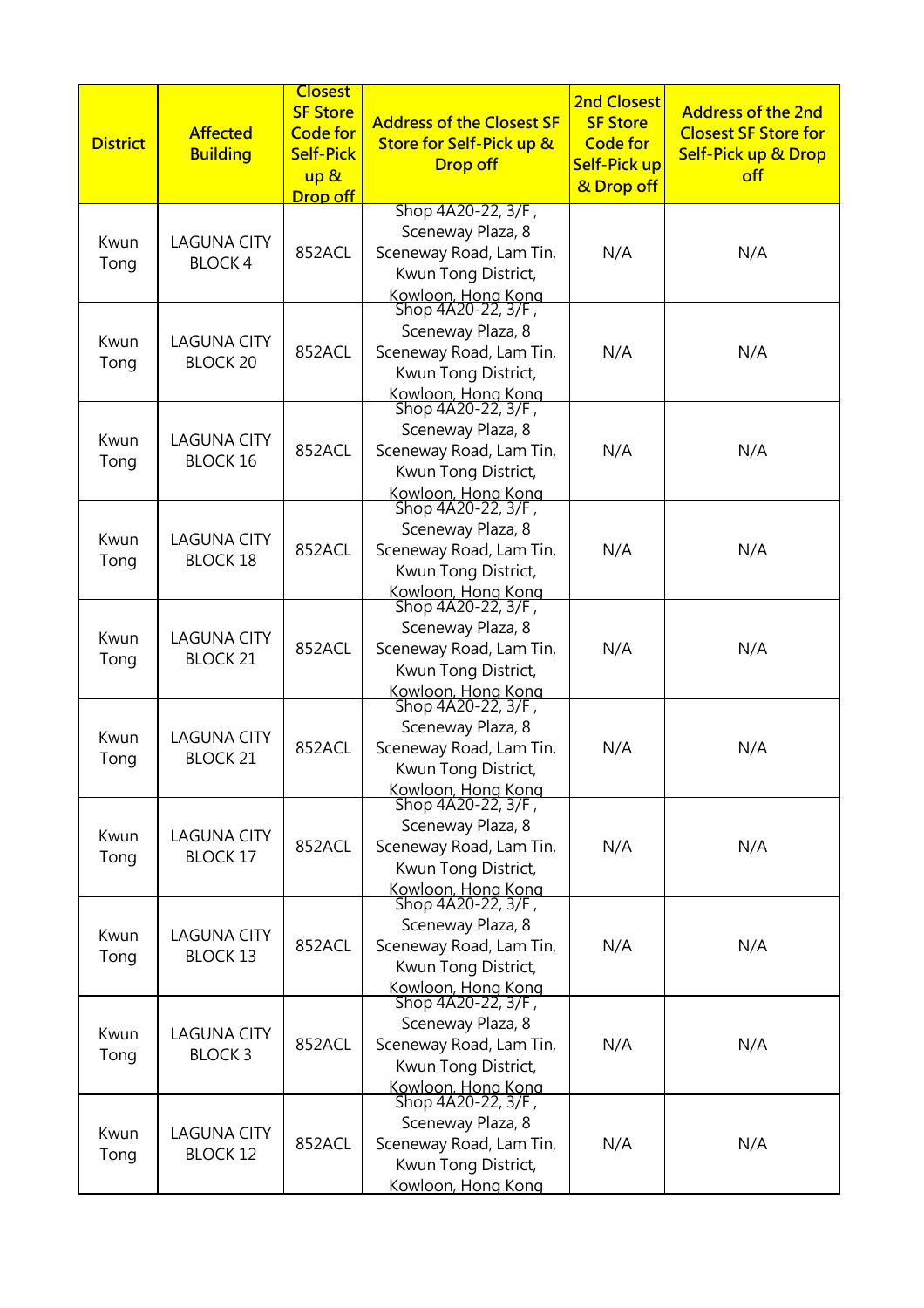| <b>District</b> | <b>Affected</b><br><b>Building</b>    | <b>Closest</b><br><b>SF Store</b><br><b>Code for</b><br><b>Self-Pick</b><br>up &<br>Drop off | <b>Address of the Closest SF</b><br><b>Store for Self-Pick up &amp;</b><br><b>Drop off</b>                                            | <b>2nd Closest</b><br><b>SF Store</b><br><b>Code for</b><br>Self-Pick up<br>& Drop off | <b>Address of the 2nd</b><br><b>Closest SF Store for</b><br><b>Self-Pick up &amp; Drop</b><br>off |
|-----------------|---------------------------------------|----------------------------------------------------------------------------------------------|---------------------------------------------------------------------------------------------------------------------------------------|----------------------------------------------------------------------------------------|---------------------------------------------------------------------------------------------------|
| Kwun<br>Tong    | <b>LAGUNA CITY</b><br><b>BLOCK4</b>   | 852ACL                                                                                       | Shop 4A20-22, 3/F,<br>Sceneway Plaza, 8<br>Sceneway Road, Lam Tin,<br>Kwun Tong District,<br>Kowloon, Hong Kong<br>Shop 4A20-22, 3/F, | N/A                                                                                    | N/A                                                                                               |
| Kwun<br>Tong    | <b>LAGUNA CITY</b><br><b>BLOCK 20</b> | 852ACL                                                                                       | Sceneway Plaza, 8<br>Sceneway Road, Lam Tin,<br>Kwun Tong District,<br>Kowloon, Hong Kong                                             | N/A                                                                                    | N/A                                                                                               |
| Kwun<br>Tong    | <b>LAGUNA CITY</b><br><b>BLOCK 16</b> | 852ACL                                                                                       | Shop 4A20-22, 3/F,<br>Sceneway Plaza, 8<br>Sceneway Road, Lam Tin,<br>Kwun Tong District,<br>Kowloon, Hong Kong<br>Shop 4A20-22, 3/F, | N/A                                                                                    | N/A                                                                                               |
| Kwun<br>Tong    | <b>LAGUNA CITY</b><br><b>BLOCK 18</b> | 852ACL                                                                                       | Sceneway Plaza, 8<br>Sceneway Road, Lam Tin,<br>Kwun Tong District,<br>Kowloon, Hong Kong<br>Shop 4A20-22, 3/F,                       | N/A                                                                                    | N/A                                                                                               |
| Kwun<br>Tong    | <b>LAGUNA CITY</b><br><b>BLOCK 21</b> | 852ACL                                                                                       | Sceneway Plaza, 8<br>Sceneway Road, Lam Tin,<br>Kwun Tong District,<br>Kowloon, Hong Kong<br>Shop 4A20-22, 3/F,                       | N/A                                                                                    | N/A                                                                                               |
| Kwun<br>Tong    | <b>LAGUNA CITY</b><br><b>BLOCK 21</b> | 852ACL                                                                                       | Sceneway Plaza, 8<br>Sceneway Road, Lam Tin,<br>Kwun Tong District,<br>Kowloon, Hong Kong<br>Shop 4A20-22, 3/F,                       | N/A                                                                                    | N/A                                                                                               |
| Kwun<br>Tong    | <b>LAGUNA CITY</b><br><b>BLOCK 17</b> | 852ACL                                                                                       | Sceneway Plaza, 8<br>Sceneway Road, Lam Tin,<br>Kwun Tong District,<br>Kowloon, Hong Kong<br>Shop 4A20-22, 3/F,                       | N/A                                                                                    | N/A                                                                                               |
| Kwun<br>Tong    | <b>LAGUNA CITY</b><br><b>BLOCK 13</b> | 852ACL                                                                                       | Sceneway Plaza, 8<br>Sceneway Road, Lam Tin,<br>Kwun Tong District,<br>Kowloon, Hong Kong<br>Shop 4A20-22, 3/F,                       | N/A                                                                                    | N/A                                                                                               |
| Kwun<br>Tong    | <b>LAGUNA CITY</b><br><b>BLOCK3</b>   | 852ACL                                                                                       | Sceneway Plaza, 8<br>Sceneway Road, Lam Tin,<br>Kwun Tong District,<br>Kowloon, Hong Kong<br>Shop 4A20-22, 3/F,                       | N/A                                                                                    | N/A                                                                                               |
| Kwun<br>Tong    | <b>LAGUNA CITY</b><br><b>BLOCK 12</b> | 852ACL                                                                                       | Sceneway Plaza, 8<br>Sceneway Road, Lam Tin,<br>Kwun Tong District,<br>Kowloon, Hong Kong                                             | N/A                                                                                    | N/A                                                                                               |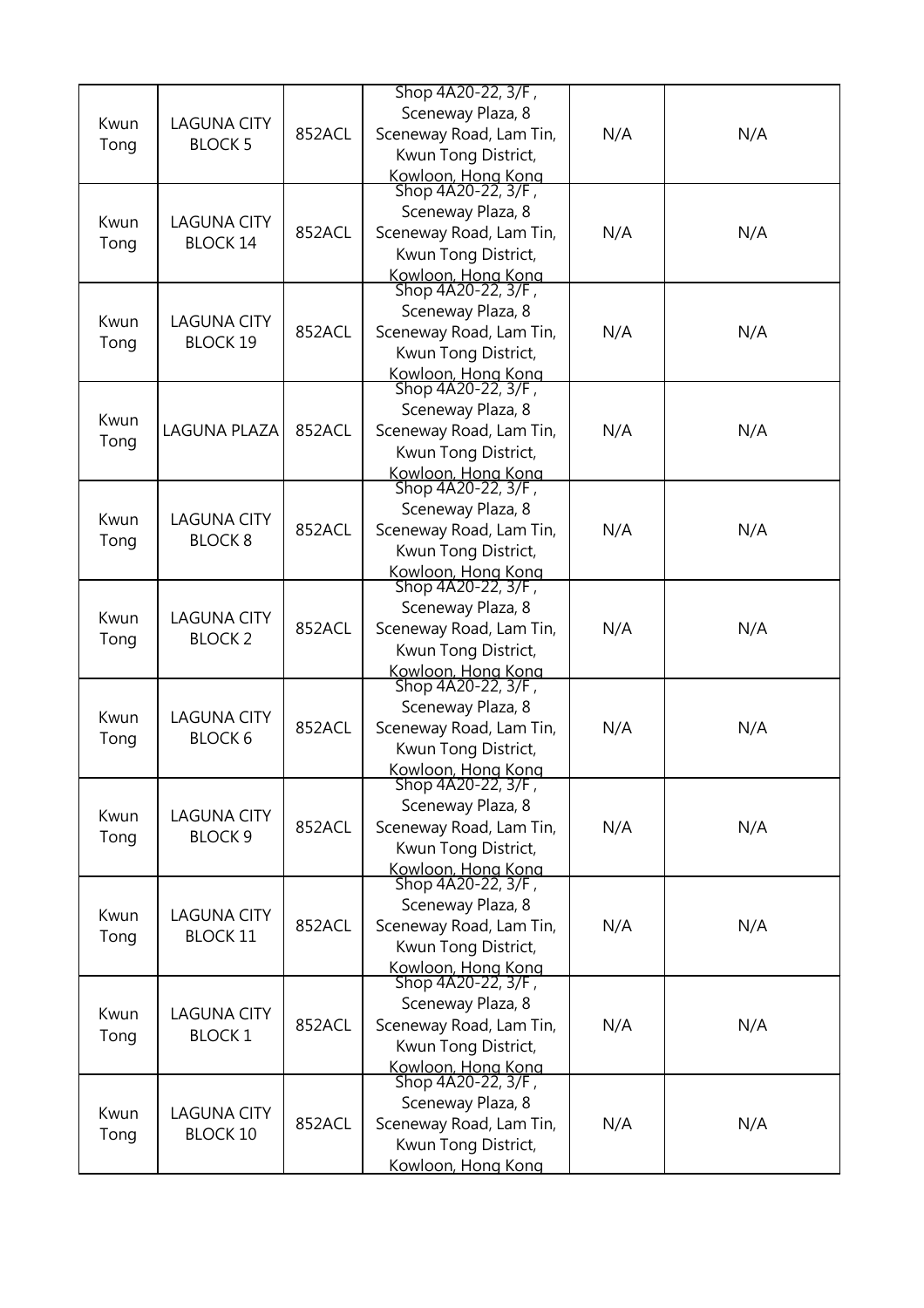| Kwun<br>Tong | <b>LAGUNA CITY</b><br><b>BLOCK 5</b>  | 852ACL | Shop 4A20-22, 3/F,<br>Sceneway Plaza, 8<br>Sceneway Road, Lam Tin,<br>Kwun Tong District,<br>Kowloon, Hong Kong<br>Shop 4A20-22, 3/F, | N/A | N/A |
|--------------|---------------------------------------|--------|---------------------------------------------------------------------------------------------------------------------------------------|-----|-----|
| Kwun<br>Tong | <b>LAGUNA CITY</b><br><b>BLOCK 14</b> | 852ACL | Sceneway Plaza, 8<br>Sceneway Road, Lam Tin,<br>Kwun Tong District,<br>Kowloon, Hong Kong                                             | N/A | N/A |
| Kwun<br>Tong | <b>LAGUNA CITY</b><br><b>BLOCK 19</b> | 852ACL | Shop 4A20-22, 3/F,<br>Sceneway Plaza, 8<br>Sceneway Road, Lam Tin,<br>Kwun Tong District,<br>Kowloon, Hong Kong                       | N/A | N/A |
| Kwun<br>Tong | <b>LAGUNA PLAZA</b>                   | 852ACL | Shop 4A20-22, 3/F,<br>Sceneway Plaza, 8<br>Sceneway Road, Lam Tin,<br>Kwun Tong District,<br>Kowloon, Hong Kong<br>Shop 4A20-22, 3/F, | N/A | N/A |
| Kwun<br>Tong | <b>LAGUNA CITY</b><br><b>BLOCK 8</b>  | 852ACL | Sceneway Plaza, 8<br>Sceneway Road, Lam Tin,<br>Kwun Tong District,<br>Kowloon, Hong Kong                                             | N/A | N/A |
| Kwun<br>Tong | <b>LAGUNA CITY</b><br><b>BLOCK 2</b>  | 852ACL | Shop 4A20-22, 3/F,<br>Sceneway Plaza, 8<br>Sceneway Road, Lam Tin,<br>Kwun Tong District,<br>Kowloon, Hong Kong                       | N/A | N/A |
| Kwun<br>Tong | <b>LAGUNA CITY</b><br><b>BLOCK 6</b>  | 852ACL | Shop 4A20-22, 3/F,<br>Sceneway Plaza, 8<br>Sceneway Road, Lam Tin,<br>Kwun Tong District,<br>Kowloon, Hong Kong                       | N/A | N/A |
| Kwun<br>Tong | <b>LAGUNA CITY</b><br><b>BLOCK 9</b>  | 852ACL | Shop 4A20-22, 3/F,<br>Sceneway Plaza, 8<br>Sceneway Road, Lam Tin,<br>Kwun Tong District,<br>Kowloon, Hong Kong                       | N/A | N/A |
| Kwun<br>Tong | <b>LAGUNA CITY</b><br><b>BLOCK 11</b> | 852ACL | Shop 4A20-22, 3/F,<br>Sceneway Plaza, 8<br>Sceneway Road, Lam Tin,<br>Kwun Tong District,<br>Kowloon, Hong Kong                       | N/A | N/A |
| Kwun<br>Tong | <b>LAGUNA CITY</b><br><b>BLOCK1</b>   | 852ACL | Shop 4A20-22, 3/F,<br>Sceneway Plaza, 8<br>Sceneway Road, Lam Tin,<br>Kwun Tong District,<br>Kowloon, Hong Kong                       | N/A | N/A |
| Kwun<br>Tong | <b>LAGUNA CITY</b><br><b>BLOCK 10</b> | 852ACL | Shop 4A20-22, 3/F,<br>Sceneway Plaza, 8<br>Sceneway Road, Lam Tin,<br>Kwun Tong District,<br>Kowloon, Hong Kong                       | N/A | N/A |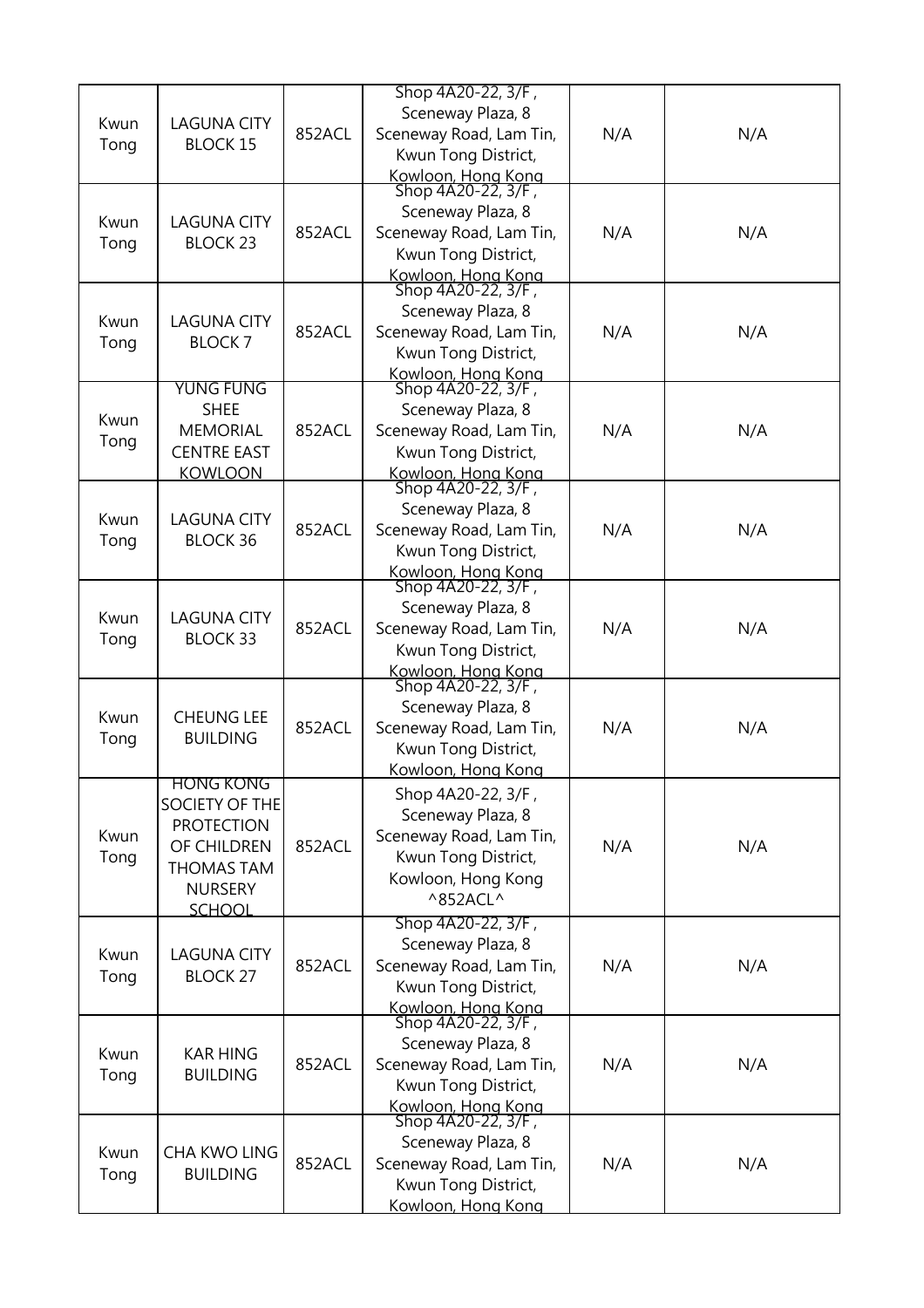|              |                                                                                                                  |        | Shop 4A20-22, 3/F,                                                                                                                    |     |     |
|--------------|------------------------------------------------------------------------------------------------------------------|--------|---------------------------------------------------------------------------------------------------------------------------------------|-----|-----|
| Kwun<br>Tong | <b>LAGUNA CITY</b><br><b>BLOCK 15</b>                                                                            | 852ACL | Sceneway Plaza, 8<br>Sceneway Road, Lam Tin,<br>Kwun Tong District,                                                                   | N/A | N/A |
| Kwun<br>Tong | <b>LAGUNA CITY</b><br><b>BLOCK 23</b>                                                                            | 852ACL | Kowloon, Hong Kong<br>Shop 4A20-22, 3/F,<br>Sceneway Plaza, 8<br>Sceneway Road, Lam Tin,<br>Kwun Tong District,<br>Kowloon, Hong Kong | N/A | N/A |
| Kwun<br>Tong | <b>LAGUNA CITY</b><br><b>BLOCK7</b>                                                                              | 852ACL | Shop 4A20-22, 3/F,<br>Sceneway Plaza, 8<br>Sceneway Road, Lam Tin,<br>Kwun Tong District,<br>Kowloon, Hong Kong                       | N/A | N/A |
| Kwun<br>Tong | <b>YUNG FUNG</b><br><b>SHEE</b><br><b>MEMORIAL</b><br><b>CENTRE EAST</b><br><b>KOWLOON</b>                       | 852ACL | Shop 4A20-22, 3/F,<br>Sceneway Plaza, 8<br>Sceneway Road, Lam Tin,<br>Kwun Tong District,<br>Kowloon, Hong Kong<br>Shop 4A20-22, 3/F, | N/A | N/A |
| Kwun<br>Tong | <b>LAGUNA CITY</b><br><b>BLOCK 36</b>                                                                            | 852ACL | Sceneway Plaza, 8<br>Sceneway Road, Lam Tin,<br>Kwun Tong District,<br>Kowloon, Hong Kong                                             | N/A | N/A |
| Kwun<br>Tong | <b>LAGUNA CITY</b><br><b>BLOCK 33</b>                                                                            | 852ACL | Shop 4A20-22, 3/F,<br>Sceneway Plaza, 8<br>Sceneway Road, Lam Tin,<br>Kwun Tong District,<br>Kowloon, Hong Kong                       | N/A | N/A |
| Kwun<br>Tong | <b>CHEUNG LEE</b><br><b>BUILDING</b>                                                                             | 852ACL | Shop 4A20-22, 3/F,<br>Sceneway Plaza, 8<br>Sceneway Road, Lam Tin,<br>Kwun Tong District,<br>Kowloon, Hong Kong                       | N/A | N/A |
| Kwun<br>Tong | HONG KONG<br>SOCIETY OF THE<br><b>PROTECTION</b><br>OF CHILDREN<br>THOMAS TAM<br><b>NURSERY</b><br><b>SCHOOL</b> | 852ACL | Shop 4A20-22, 3/F,<br>Sceneway Plaza, 8<br>Sceneway Road, Lam Tin,<br>Kwun Tong District,<br>Kowloon, Hong Kong<br>^852ACL^           | N/A | N/A |
| Kwun<br>Tong | <b>LAGUNA CITY</b><br><b>BLOCK 27</b>                                                                            | 852ACL | Shop 4A20-22, 3/F,<br>Sceneway Plaza, 8<br>Sceneway Road, Lam Tin,<br>Kwun Tong District,<br>Kowloon, Hong Kong<br>Shop 4A20-22, 3/F, | N/A | N/A |
| Kwun<br>Tong | <b>KAR HING</b><br><b>BUILDING</b>                                                                               | 852ACL | Sceneway Plaza, 8<br>Sceneway Road, Lam Tin,<br>Kwun Tong District,<br>Kowloon, Hong Kong<br>Shop 4A20-22, 3/F,                       | N/A | N/A |
| Kwun<br>Tong | CHA KWO LING<br><b>BUILDING</b>                                                                                  | 852ACL | Sceneway Plaza, 8<br>Sceneway Road, Lam Tin,<br>Kwun Tong District,<br>Kowloon, Hong Kong                                             | N/A | N/A |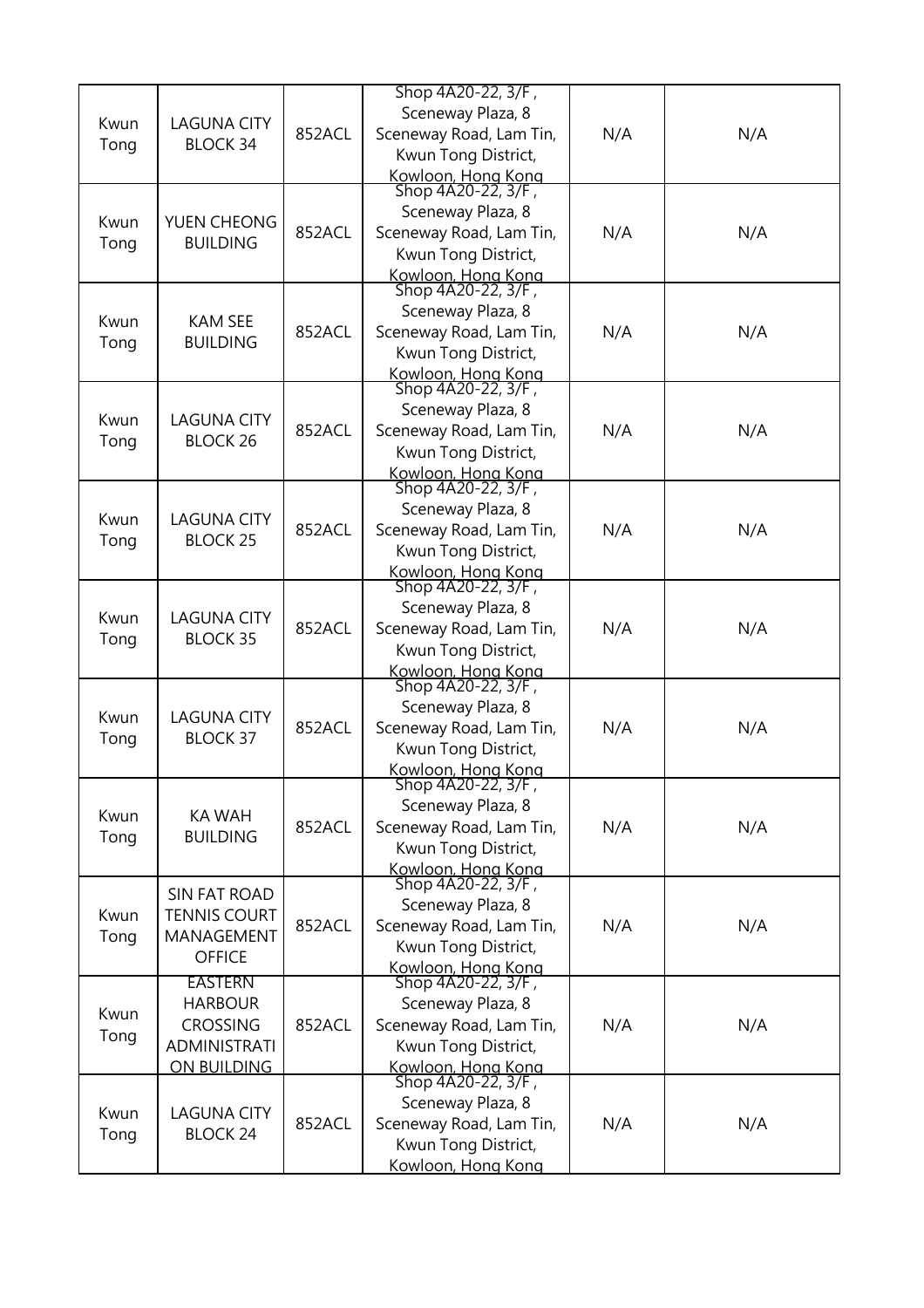| Kwun<br>Tong | <b>LAGUNA CITY</b><br><b>BLOCK 34</b>                                                     | 852ACL | Shop 4A20-22, 3/F,<br>Sceneway Plaza, 8<br>Sceneway Road, Lam Tin,<br>Kwun Tong District,<br>Kowloon, Hong Kong<br>Shop 4A20-22, 3/F, | N/A | N/A |
|--------------|-------------------------------------------------------------------------------------------|--------|---------------------------------------------------------------------------------------------------------------------------------------|-----|-----|
| Kwun<br>Tong | YUEN CHEONG<br><b>BUILDING</b>                                                            | 852ACL | Sceneway Plaza, 8<br>Sceneway Road, Lam Tin,<br>Kwun Tong District,<br>Kowloon, Hong Kong                                             | N/A | N/A |
| Kwun<br>Tong | <b>KAM SEE</b><br><b>BUILDING</b>                                                         | 852ACL | Shop 4A20-22, 3/F,<br>Sceneway Plaza, 8<br>Sceneway Road, Lam Tin,<br>Kwun Tong District,<br>Kowloon, Hong Kong                       | N/A | N/A |
| Kwun<br>Tong | <b>LAGUNA CITY</b><br><b>BLOCK 26</b>                                                     | 852ACL | Shop 4A20-22, 3/F,<br>Sceneway Plaza, 8<br>Sceneway Road, Lam Tin,<br>Kwun Tong District,<br>Kowloon, Hong Kong                       | N/A | N/A |
| Kwun<br>Tong | <b>LAGUNA CITY</b><br><b>BLOCK 25</b>                                                     | 852ACL | Shop 4A20-22, 3/F,<br>Sceneway Plaza, 8<br>Sceneway Road, Lam Tin,<br>Kwun Tong District,<br>Kowloon, Hong Kong                       | N/A | N/A |
| Kwun<br>Tong | <b>LAGUNA CITY</b><br><b>BLOCK 35</b>                                                     | 852ACL | Shop 4A20-22, 3/F,<br>Sceneway Plaza, 8<br>Sceneway Road, Lam Tin,<br>Kwun Tong District,<br>Kowloon, Hong Kong                       | N/A | N/A |
| Kwun<br>Tong | <b>LAGUNA CITY</b><br><b>BLOCK 37</b>                                                     | 852ACL | Shop 4A20-22, 3/F,<br>Sceneway Plaza, 8<br>Sceneway Road, Lam Tin,<br>Kwun Tong District,<br>Kowloon, Hong Kong                       | N/A | N/A |
| Kwun<br>Tong | <b>KA WAH</b><br><b>BUILDING</b>                                                          | 852ACL | Shop 4A20-22, 3/F,<br>Sceneway Plaza, 8<br>Sceneway Road, Lam Tin,<br>Kwun Tong District,<br>Kowloon, Hong Kong                       | N/A | N/A |
| Kwun<br>Tong | <b>SIN FAT ROAD</b><br><b>TENNIS COURT</b><br><b>MANAGEMENT</b><br><b>OFFICE</b>          | 852ACL | Shop 4A20-22, 3/F,<br>Sceneway Plaza, 8<br>Sceneway Road, Lam Tin,<br>Kwun Tong District,<br>Kowloon, Hong Kong                       | N/A | N/A |
| Kwun<br>Tong | <b>EASTERN</b><br><b>HARBOUR</b><br><b>CROSSING</b><br><b>ADMINISTRATI</b><br>ON BUILDING | 852ACL | Shop 4A20-22, 3/F,<br>Sceneway Plaza, 8<br>Sceneway Road, Lam Tin,<br>Kwun Tong District,<br>Kowloon, Hong Kong                       | N/A | N/A |
| Kwun<br>Tong | <b>LAGUNA CITY</b><br><b>BLOCK 24</b>                                                     | 852ACL | Shop 4A20-22, 3/F,<br>Sceneway Plaza, 8<br>Sceneway Road, Lam Tin,<br>Kwun Tong District,<br>Kowloon, Hong Kong                       | N/A | N/A |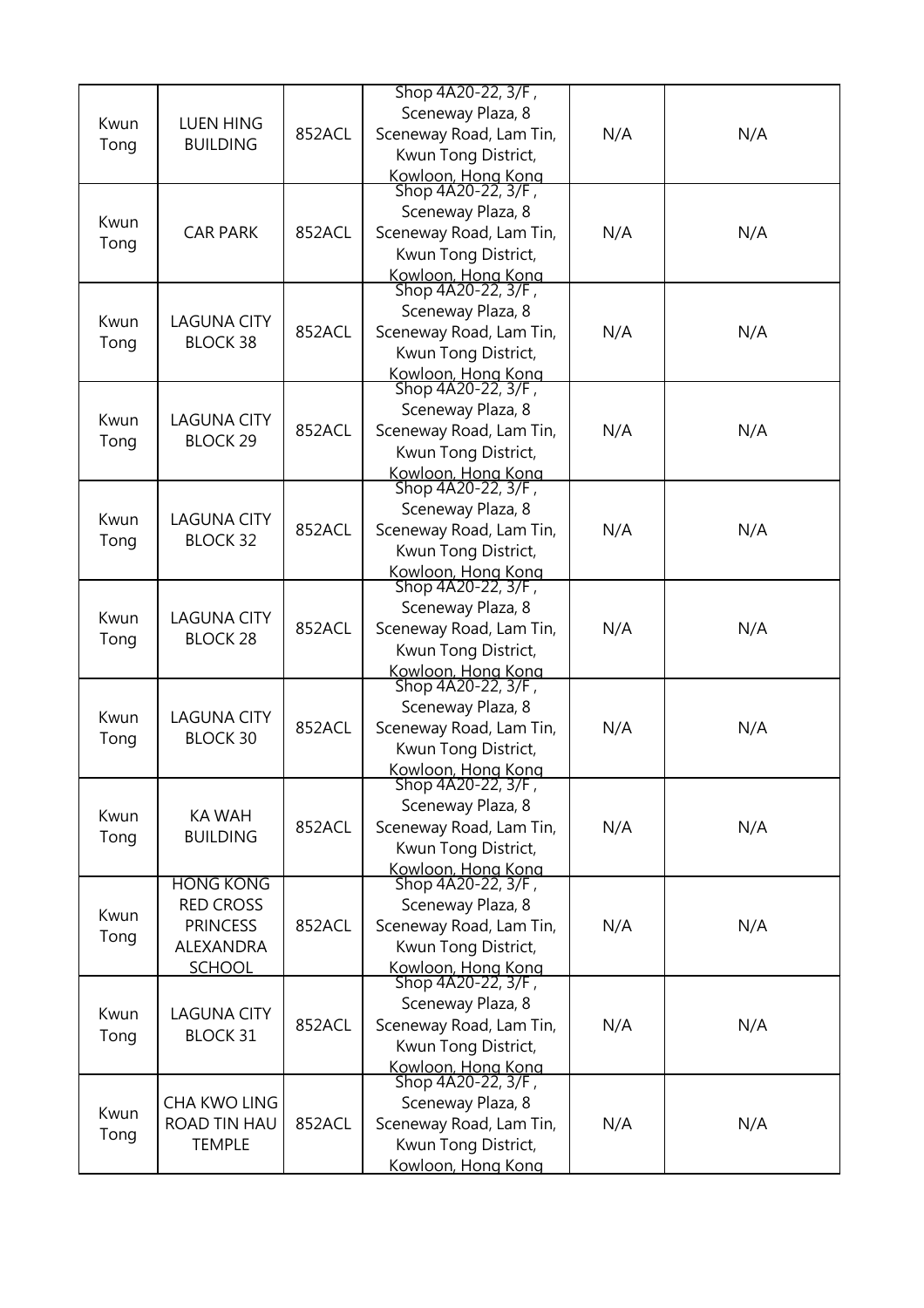| Kwun<br>Tong | <b>LUEN HING</b><br><b>BUILDING</b>                                                   | 852ACL | Shop 4A20-22, 3/F,<br>Sceneway Plaza, 8<br>Sceneway Road, Lam Tin,<br>Kwun Tong District,                                             | N/A | N/A |
|--------------|---------------------------------------------------------------------------------------|--------|---------------------------------------------------------------------------------------------------------------------------------------|-----|-----|
| Kwun<br>Tong | <b>CAR PARK</b>                                                                       | 852ACL | Kowloon, Hong Kong<br>Shop 4A20-22, 3/F,<br>Sceneway Plaza, 8<br>Sceneway Road, Lam Tin,<br>Kwun Tong District,<br>Kowloon, Hong Kong | N/A | N/A |
| Kwun<br>Tong | <b>LAGUNA CITY</b><br><b>BLOCK 38</b>                                                 | 852ACL | Shop 4A20-22, 3/F,<br>Sceneway Plaza, 8<br>Sceneway Road, Lam Tin,<br>Kwun Tong District,<br>Kowloon, Hong Kong                       | N/A | N/A |
| Kwun<br>Tong | <b>LAGUNA CITY</b><br><b>BLOCK 29</b>                                                 | 852ACL | Shop 4A20-22, 3/F,<br>Sceneway Plaza, 8<br>Sceneway Road, Lam Tin,<br>Kwun Tong District,                                             | N/A | N/A |
| Kwun<br>Tong | <b>LAGUNA CITY</b><br><b>BLOCK 32</b>                                                 | 852ACL | Kowloon, Hong Kong<br>Shop 4A20-22, 3/F,<br>Sceneway Plaza, 8<br>Sceneway Road, Lam Tin,<br>Kwun Tong District,<br>Kowloon, Hong Kong | N/A | N/A |
| Kwun<br>Tong | <b>LAGUNA CITY</b><br><b>BLOCK 28</b>                                                 | 852ACL | Shop 4A20-22, 3/F,<br>Sceneway Plaza, 8<br>Sceneway Road, Lam Tin,<br>Kwun Tong District,<br>Kowloon, Hong Kong                       | N/A | N/A |
| Kwun<br>Tong | <b>LAGUNA CITY</b><br><b>BLOCK 30</b>                                                 | 852ACL | Shop 4A20-22, 3/F,<br>Sceneway Plaza, 8<br>Sceneway Road, Lam Tin,<br>Kwun Tong District,<br>Kowloon, Hong Kong                       | N/A | N/A |
| Kwun<br>Tong | <b>KA WAH</b><br><b>BUILDING</b>                                                      | 852ACL | Shop 4A20-22, 3/F,<br>Sceneway Plaza, 8<br>Sceneway Road, Lam Tin,<br>Kwun Tong District,<br>Kowloon, Hong Kong                       | N/A | N/A |
| Kwun<br>Tong | <b>HONG KONG</b><br><b>RED CROSS</b><br><b>PRINCESS</b><br>ALEXANDRA<br><b>SCHOOL</b> | 852ACL | Shop 4A20-22, 3/F,<br>Sceneway Plaza, 8<br>Sceneway Road, Lam Tin,<br>Kwun Tong District,<br>Kowloon, Hong Kong                       | N/A | N/A |
| Kwun<br>Tong | <b>LAGUNA CITY</b><br><b>BLOCK 31</b>                                                 | 852ACL | Shop 4A20-22, 3/F,<br>Sceneway Plaza, 8<br>Sceneway Road, Lam Tin,<br>Kwun Tong District,<br>Kowloon, Hong Kong                       | N/A | N/A |
| Kwun<br>Tong | CHA KWO LING<br>ROAD TIN HAU<br><b>TEMPLE</b>                                         | 852ACL | Shop 4A20-22, 3/F,<br>Sceneway Plaza, 8<br>Sceneway Road, Lam Tin,<br>Kwun Tong District,<br>Kowloon, Hong Kong                       | N/A | N/A |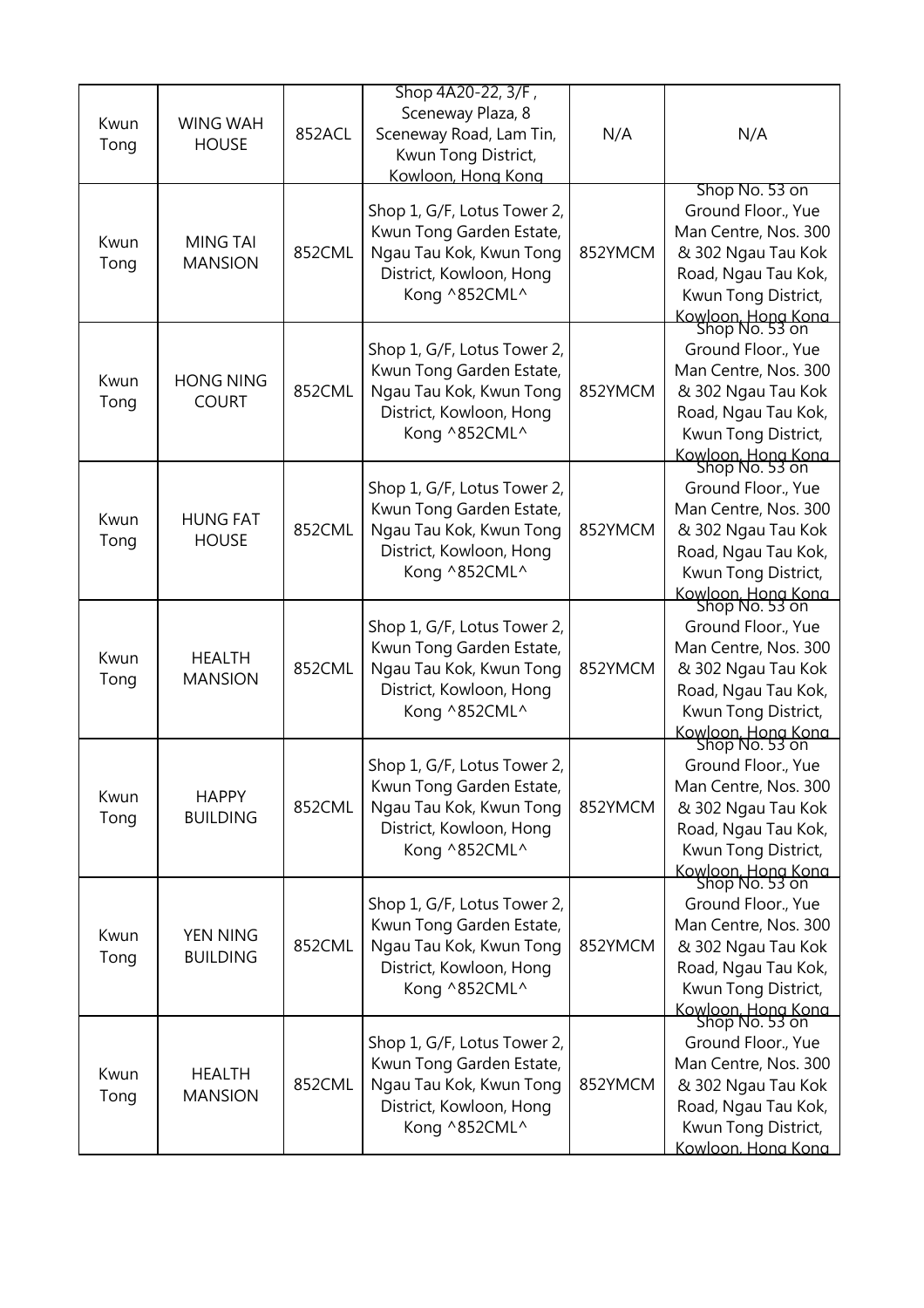| Kwun<br>Tong | <b>WING WAH</b><br><b>HOUSE</b>   | 852ACL | Shop 4A20-22, 3/F,<br>Sceneway Plaza, 8<br>Sceneway Road, Lam Tin,<br>Kwun Tong District,<br>Kowloon, Hong Kong                | N/A     | N/A                                                                                                                                                                      |
|--------------|-----------------------------------|--------|--------------------------------------------------------------------------------------------------------------------------------|---------|--------------------------------------------------------------------------------------------------------------------------------------------------------------------------|
| Kwun<br>Tong | <b>MING TAI</b><br><b>MANSION</b> | 852CML | Shop 1, G/F, Lotus Tower 2,<br>Kwun Tong Garden Estate,<br>Ngau Tau Kok, Kwun Tong<br>District, Kowloon, Hong<br>Kong ^852CML^ | 852YMCM | Shop No. 53 on<br>Ground Floor., Yue<br>Man Centre, Nos. 300<br>& 302 Ngau Tau Kok<br>Road, Ngau Tau Kok,<br>Kwun Tong District,<br>Kowloon, Hong Kong<br>Shop No. 53 on |
| Kwun<br>Tong | <b>HONG NING</b><br><b>COURT</b>  | 852CML | Shop 1, G/F, Lotus Tower 2,<br>Kwun Tong Garden Estate,<br>Ngau Tau Kok, Kwun Tong<br>District, Kowloon, Hong<br>Kong ^852CML^ | 852YMCM | Ground Floor., Yue<br>Man Centre, Nos. 300<br>& 302 Ngau Tau Kok<br>Road, Ngau Tau Kok,<br>Kwun Tong District,<br>Kowloon, Hong Kong<br>Shop No. 53 on                   |
| Kwun<br>Tong | <b>HUNG FAT</b><br><b>HOUSE</b>   | 852CML | Shop 1, G/F, Lotus Tower 2,<br>Kwun Tong Garden Estate,<br>Ngau Tau Kok, Kwun Tong<br>District, Kowloon, Hong<br>Kong ^852CML^ | 852YMCM | Ground Floor., Yue<br>Man Centre, Nos. 300<br>& 302 Ngau Tau Kok<br>Road, Ngau Tau Kok,<br>Kwun Tong District,<br>Kowloon, Hong Kong<br>Shop No. 53 on                   |
| Kwun<br>Tong | <b>HEALTH</b><br><b>MANSION</b>   | 852CML | Shop 1, G/F, Lotus Tower 2,<br>Kwun Tong Garden Estate,<br>Ngau Tau Kok, Kwun Tong<br>District, Kowloon, Hong<br>Kong ^852CML^ | 852YMCM | Ground Floor., Yue<br>Man Centre, Nos. 300<br>& 302 Ngau Tau Kok<br>Road, Ngau Tau Kok,<br>Kwun Tong District,<br>Kowloon, Hong Kong<br>Shop No. 53 on                   |
| Kwun<br>Tong | <b>HAPPY</b><br><b>BUILDING</b>   | 852CML | Shop 1, G/F, Lotus Tower 2,<br>Kwun Tong Garden Estate,<br>Ngau Tau Kok, Kwun Tong<br>District, Kowloon, Hong<br>Kong ^852CML^ | 852YMCM | Ground Floor., Yue<br>Man Centre, Nos. 300<br>& 302 Ngau Tau Kok<br>Road, Ngau Tau Kok,<br>Kwun Tong District,<br>Kowloon, Hong Kong<br>Shop No. 53 on                   |
| Kwun<br>Tong | YEN NING<br><b>BUILDING</b>       | 852CML | Shop 1, G/F, Lotus Tower 2,<br>Kwun Tong Garden Estate,<br>Ngau Tau Kok, Kwun Tong<br>District, Kowloon, Hong<br>Kong ^852CML^ | 852YMCM | Ground Floor., Yue<br>Man Centre, Nos. 300<br>& 302 Ngau Tau Kok<br>Road, Ngau Tau Kok,<br>Kwun Tong District,<br>Kowloon, Hong Kong<br>Shop No. 53 on                   |
| Kwun<br>Tong | <b>HEALTH</b><br><b>MANSION</b>   | 852CML | Shop 1, G/F, Lotus Tower 2,<br>Kwun Tong Garden Estate,<br>Ngau Tau Kok, Kwun Tong<br>District, Kowloon, Hong<br>Kong ^852CML^ | 852YMCM | Ground Floor., Yue<br>Man Centre, Nos. 300<br>& 302 Ngau Tau Kok<br>Road, Ngau Tau Kok,<br>Kwun Tong District,<br>Kowloon. Hong Kong                                     |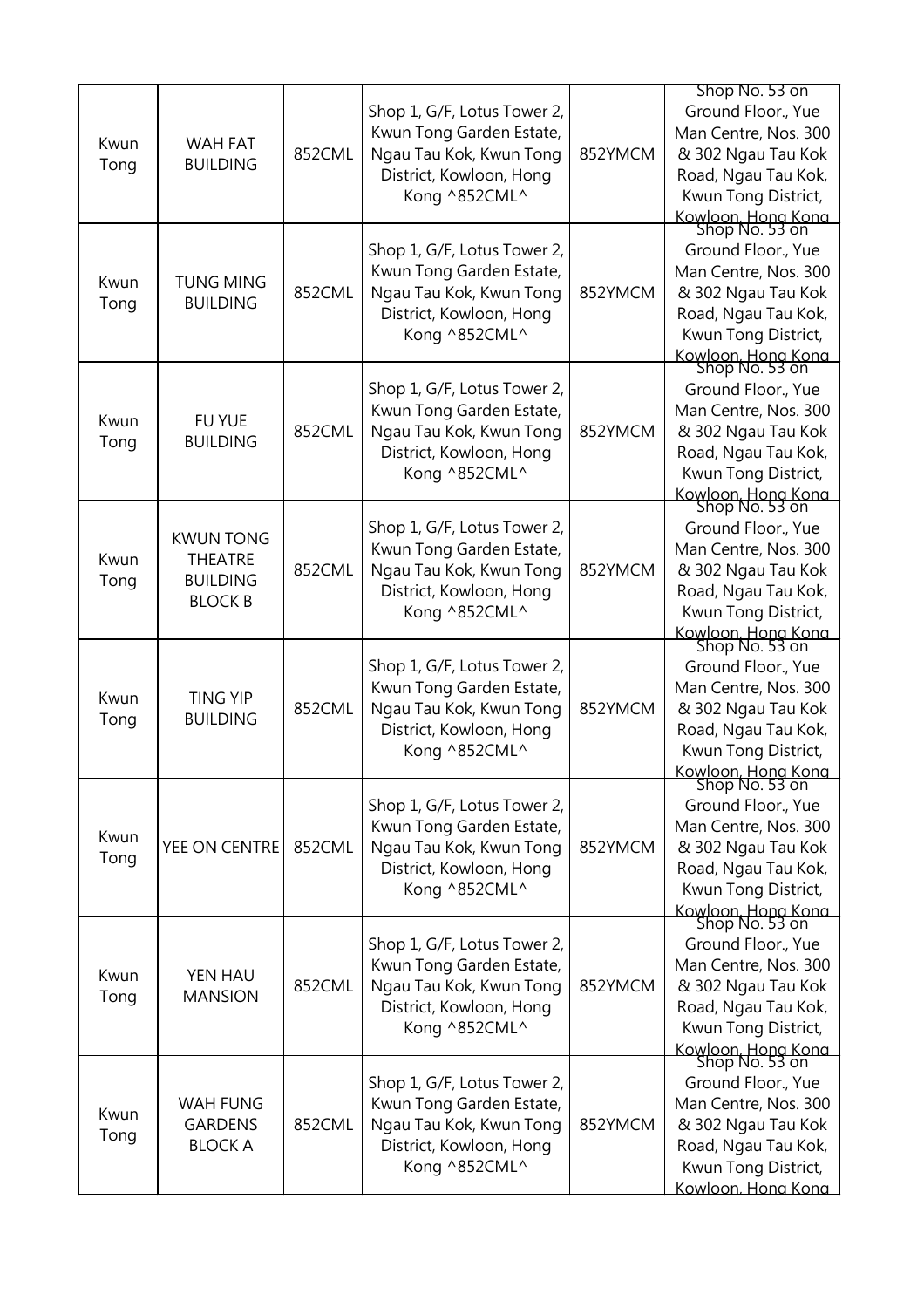| Kwun<br>Tong | <b>WAH FAT</b><br><b>BUILDING</b>                                       | 852CML | Shop 1, G/F, Lotus Tower 2,<br>Kwun Tong Garden Estate,<br>Ngau Tau Kok, Kwun Tong<br>District, Kowloon, Hong<br>Kong ^852CML^ | 852YMCM | Shop No. 53 on<br>Ground Floor., Yue<br>Man Centre, Nos. 300<br>& 302 Ngau Tau Kok<br>Road, Ngau Tau Kok,<br>Kwun Tong District,<br>Kowloon, Hong Kong<br>Shop No. 53 on                       |
|--------------|-------------------------------------------------------------------------|--------|--------------------------------------------------------------------------------------------------------------------------------|---------|------------------------------------------------------------------------------------------------------------------------------------------------------------------------------------------------|
| Kwun<br>Tong | <b>TUNG MING</b><br><b>BUILDING</b>                                     | 852CML | Shop 1, G/F, Lotus Tower 2,<br>Kwun Tong Garden Estate,<br>Ngau Tau Kok, Kwun Tong<br>District, Kowloon, Hong<br>Kong ^852CML^ | 852YMCM | Ground Floor., Yue<br>Man Centre, Nos. 300<br>& 302 Ngau Tau Kok<br>Road, Ngau Tau Kok,<br>Kwun Tong District,<br>Kowloon, Hong Kong<br>Shop No. 53 on                                         |
| Kwun<br>Tong | FU YUE<br><b>BUILDING</b>                                               | 852CML | Shop 1, G/F, Lotus Tower 2,<br>Kwun Tong Garden Estate,<br>Ngau Tau Kok, Kwun Tong<br>District, Kowloon, Hong<br>Kong ^852CML^ | 852YMCM | Ground Floor., Yue<br>Man Centre, Nos. 300<br>& 302 Ngau Tau Kok<br>Road, Ngau Tau Kok,<br>Kwun Tong District,                                                                                 |
| Kwun<br>Tong | <b>KWUN TONG</b><br><b>THEATRE</b><br><b>BUILDING</b><br><b>BLOCK B</b> | 852CML | Shop 1, G/F, Lotus Tower 2,<br>Kwun Tong Garden Estate,<br>Ngau Tau Kok, Kwun Tong<br>District, Kowloon, Hong<br>Kong ^852CML^ | 852YMCM | Kowloon, Hong Kong<br>Shop No. 53 on<br>Ground Floor., Yue<br>Man Centre, Nos. 300<br>& 302 Ngau Tau Kok<br>Road, Ngau Tau Kok,<br>Kwun Tong District,<br>Kowloon, Hong Kong<br>Shop No. 53 on |
| Kwun<br>Tong | <b>TING YIP</b><br><b>BUILDING</b>                                      | 852CML | Shop 1, G/F, Lotus Tower 2,<br>Kwun Tong Garden Estate,<br>Ngau Tau Kok, Kwun Tong<br>District, Kowloon, Hong<br>Kong ^852CML^ | 852YMCM | Ground Floor., Yue<br>Man Centre, Nos. 300<br>& 302 Ngau Tau Kok<br>Road, Ngau Tau Kok,<br>Kwun Tong District,<br>Kowloon, Hong Kong                                                           |
| Kwun<br>Tong | YEE ON CENTRE                                                           | 852CML | Shop 1, G/F, Lotus Tower 2,<br>Kwun Tong Garden Estate,<br>Ngau Tau Kok, Kwun Tong<br>District, Kowloon, Hong<br>Kong ^852CML^ | 852YMCM | Shop No. 53 on<br>Ground Floor., Yue<br>Man Centre, Nos. 300<br>& 302 Ngau Tau Kok<br>Road, Ngau Tau Kok,<br>Kwun Tong District,                                                               |
| Kwun<br>Tong | YEN HAU<br><b>MANSION</b>                                               | 852CML | Shop 1, G/F, Lotus Tower 2,<br>Kwun Tong Garden Estate,<br>Ngau Tau Kok, Kwun Tong<br>District, Kowloon, Hong<br>Kong ^852CML^ | 852YMCM | Kowloon, Hong Kong<br>Shop No. 53 on<br>Ground Floor., Yue<br>Man Centre, Nos. 300<br>& 302 Ngau Tau Kok<br>Road, Ngau Tau Kok,<br>Kwun Tong District,<br>Kowloon, Hong Kong<br>Shop No. 53 on |
| Kwun<br>Tong | <b>WAH FUNG</b><br><b>GARDENS</b><br><b>BLOCK A</b>                     | 852CML | Shop 1, G/F, Lotus Tower 2,<br>Kwun Tong Garden Estate,<br>Ngau Tau Kok, Kwun Tong<br>District, Kowloon, Hong<br>Kong ^852CML^ | 852YMCM | Ground Floor., Yue<br>Man Centre, Nos. 300<br>& 302 Ngau Tau Kok<br>Road, Ngau Tau Kok,<br>Kwun Tong District,<br>Kowloon. Hong Kong                                                           |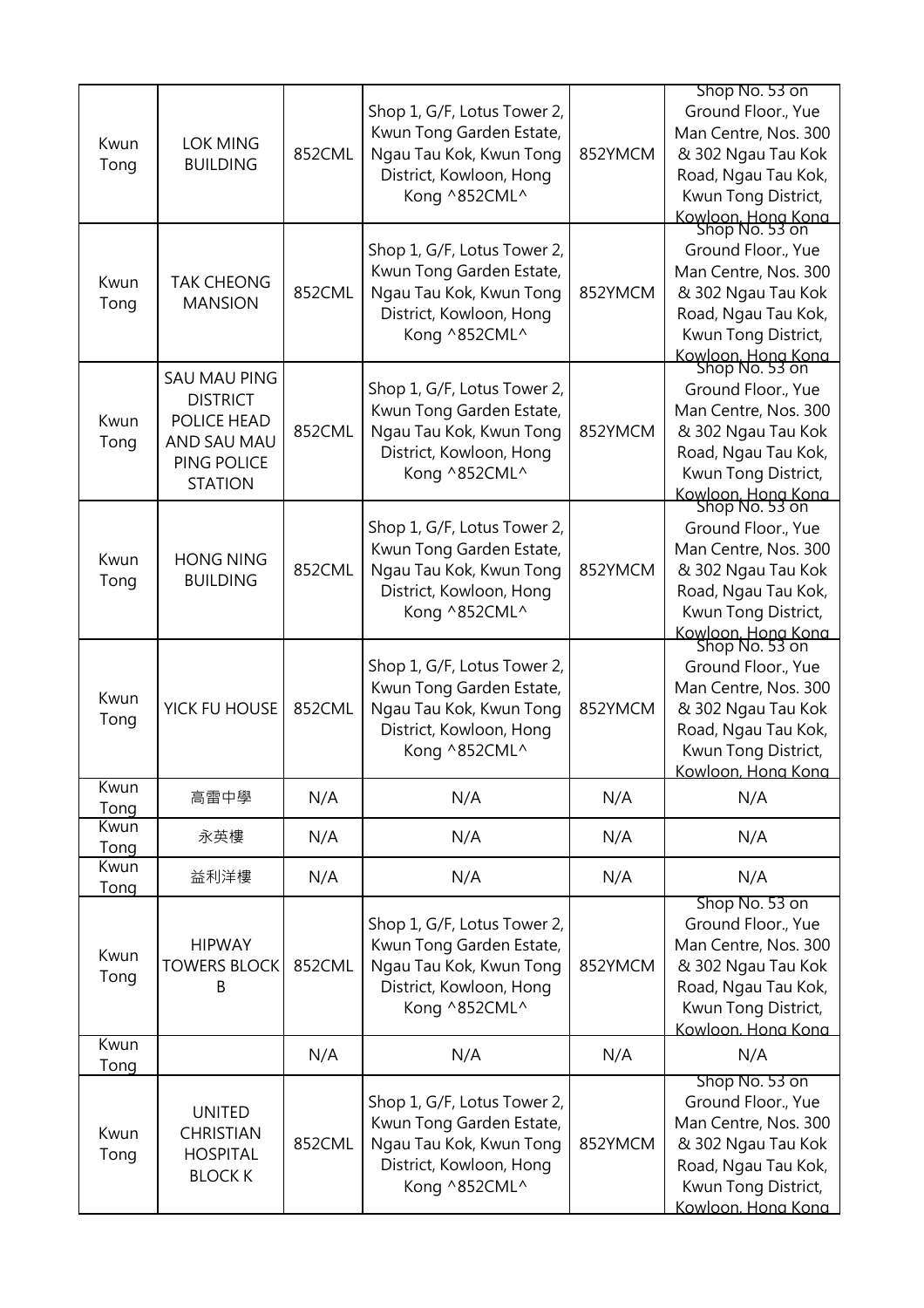|              |                                      |        | Shop 1, G/F, Lotus Tower 2,                             |         | Shop No. 53 on<br>Ground Floor., Yue       |
|--------------|--------------------------------------|--------|---------------------------------------------------------|---------|--------------------------------------------|
| Kwun         | <b>LOK MING</b>                      |        | Kwun Tong Garden Estate,                                |         | Man Centre, Nos. 300                       |
| Tong         | <b>BUILDING</b>                      | 852CML | Ngau Tau Kok, Kwun Tong                                 | 852YMCM | & 302 Ngau Tau Kok                         |
|              |                                      |        | District, Kowloon, Hong<br>Kong ^852CML^                |         | Road, Ngau Tau Kok,<br>Kwun Tong District, |
|              |                                      |        |                                                         |         |                                            |
|              |                                      |        |                                                         |         | Kowloon, Hong Kong<br>Shop No. 53 on       |
|              |                                      |        | Shop 1, G/F, Lotus Tower 2,<br>Kwun Tong Garden Estate, |         | Ground Floor., Yue<br>Man Centre, Nos. 300 |
| Kwun         | <b>TAK CHEONG</b>                    | 852CML | Ngau Tau Kok, Kwun Tong                                 | 852YMCM | & 302 Ngau Tau Kok                         |
| Tong         | <b>MANSION</b>                       |        | District, Kowloon, Hong                                 |         | Road, Ngau Tau Kok,                        |
|              |                                      |        | Kong ^852CML^                                           |         | Kwun Tong District,                        |
|              |                                      |        |                                                         |         | Kowloon, Hong Kong<br>Shop No. 53 on       |
|              | <b>SAU MAU PING</b>                  |        | Shop 1, G/F, Lotus Tower 2,                             |         | Ground Floor., Yue                         |
|              | <b>DISTRICT</b>                      |        | Kwun Tong Garden Estate,                                |         | Man Centre, Nos. 300                       |
| Kwun         | POLICE HEAD                          | 852CML | Ngau Tau Kok, Kwun Tong                                 | 852YMCM | & 302 Ngau Tau Kok                         |
| Tong         | AND SAU MAU<br>PING POLICE           |        | District, Kowloon, Hong                                 |         | Road, Ngau Tau Kok,                        |
|              | <b>STATION</b>                       |        | Kong ^852CML^                                           |         | Kwun Tong District,                        |
|              |                                      |        |                                                         |         | Kowloon, Hong Kong<br>Shop No. 53 on       |
|              |                                      |        | Shop 1, G/F, Lotus Tower 2,                             |         | Ground Floor., Yue                         |
| Kwun         | <b>HONG NING</b>                     |        | Kwun Tong Garden Estate,                                |         | Man Centre, Nos. 300                       |
| Tong         | <b>BUILDING</b>                      | 852CML | Ngau Tau Kok, Kwun Tong                                 | 852YMCM | & 302 Ngau Tau Kok                         |
|              |                                      |        | District, Kowloon, Hong                                 |         | Road, Ngau Tau Kok,                        |
|              |                                      |        | Kong ^852CML^                                           |         | Kwun Tong District,                        |
|              |                                      |        |                                                         |         | Kowloon, Hong Kong<br>Shop No. 53 on       |
|              |                                      |        | Shop 1, G/F, Lotus Tower 2,                             |         | Ground Floor., Yue                         |
| Kwun         | YICK FU HOUSE                        | 852CML | Kwun Tong Garden Estate,                                | 852YMCM | Man Centre, Nos. 300                       |
| Tong         |                                      |        | Ngau Tau Kok, Kwun Tong<br>District, Kowloon, Hong      |         | & 302 Ngau Tau Kok<br>Road, Ngau Tau Kok,  |
|              |                                      |        | Kong ^852CML^                                           |         | Kwun Tong District,                        |
|              |                                      |        |                                                         |         | Kowloon. Hong Kong                         |
| Kwun         | 高雷中學                                 | N/A    | N/A                                                     | N/A     | N/A                                        |
| Tong<br>Kwun |                                      |        |                                                         |         |                                            |
| Tong         | 永英樓                                  | N/A    | N/A                                                     | N/A     | N/A                                        |
| Kwun<br>Tong | 益利洋樓                                 | N/A    | N/A                                                     | N/A     | N/A                                        |
|              |                                      |        |                                                         |         | Shop No. 53 on                             |
|              |                                      |        | Shop 1, G/F, Lotus Tower 2,                             |         | Ground Floor., Yue                         |
| Kwun         | <b>HIPWAY</b><br><b>TOWERS BLOCK</b> | 852CML | Kwun Tong Garden Estate,<br>Ngau Tau Kok, Kwun Tong     | 852YMCM | Man Centre, Nos. 300                       |
| Tong         | B                                    |        | District, Kowloon, Hong                                 |         | & 302 Ngau Tau Kok<br>Road, Ngau Tau Kok,  |
|              |                                      |        | Kong ^852CML^                                           |         | Kwun Tong District,                        |
|              |                                      |        |                                                         |         | Kowloon. Hona Kona                         |
| Kwun<br>Tong |                                      | N/A    | N/A                                                     | N/A     | N/A                                        |
|              |                                      |        |                                                         |         | Shop No. 53 on                             |
|              | <b>UNITED</b>                        |        | Shop 1, G/F, Lotus Tower 2,                             |         | Ground Floor., Yue                         |
| Kwun         | <b>CHRISTIAN</b>                     | 852CML | Kwun Tong Garden Estate,<br>Ngau Tau Kok, Kwun Tong     | 852YMCM | Man Centre, Nos. 300<br>& 302 Ngau Tau Kok |
| Tong         | <b>HOSPITAL</b>                      |        | District, Kowloon, Hong                                 |         | Road, Ngau Tau Kok,                        |
|              | <b>BLOCK K</b>                       |        | Kong ^852CML^                                           |         | Kwun Tong District,                        |
|              |                                      |        |                                                         |         | Kowloon, Hona Kona                         |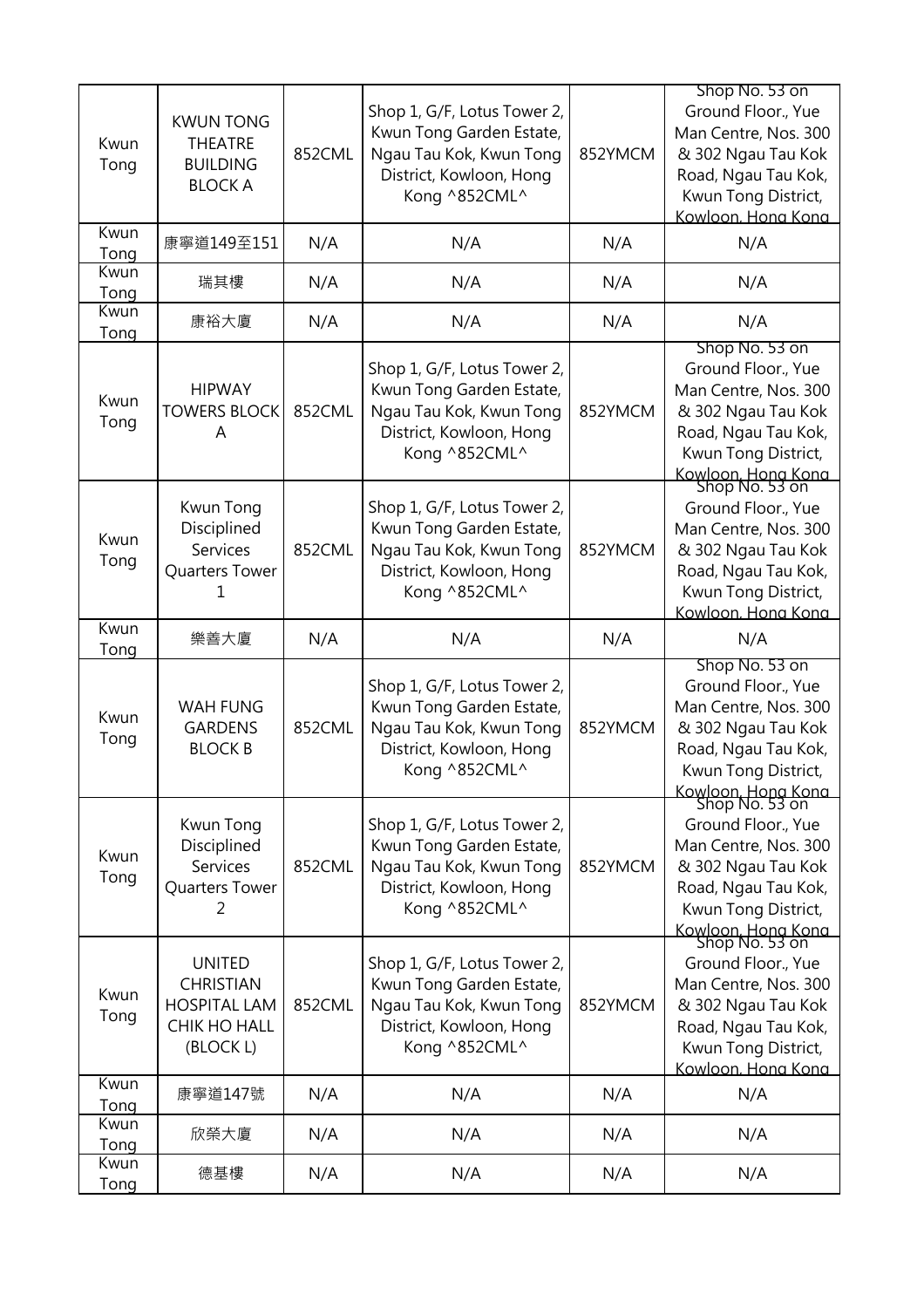| Kwun<br>Tong | <b>KWUN TONG</b><br><b>THEATRE</b><br><b>BUILDING</b><br><b>BLOCK A</b>               | 852CML | Shop 1, G/F, Lotus Tower 2,<br>Kwun Tong Garden Estate,<br>Ngau Tau Kok, Kwun Tong<br>District, Kowloon, Hong<br>Kong ^852CML^ | 852YMCM | Shop No. 53 on<br>Ground Floor., Yue<br>Man Centre, Nos. 300<br>& 302 Ngau Tau Kok<br>Road, Ngau Tau Kok,<br>Kwun Tong District,<br>Kowloon, Hona Kona                   |
|--------------|---------------------------------------------------------------------------------------|--------|--------------------------------------------------------------------------------------------------------------------------------|---------|--------------------------------------------------------------------------------------------------------------------------------------------------------------------------|
| Kwun<br>Tong | 康寧道149至151                                                                            | N/A    | N/A                                                                                                                            | N/A     | N/A                                                                                                                                                                      |
| Kwun<br>Tong | 瑞其樓                                                                                   | N/A    | N/A                                                                                                                            | N/A     | N/A                                                                                                                                                                      |
| Kwun<br>Tong | 康裕大廈                                                                                  | N/A    | N/A                                                                                                                            | N/A     | N/A                                                                                                                                                                      |
| Kwun<br>Tong | <b>HIPWAY</b><br><b>TOWERS BLOCK</b><br>A                                             | 852CML | Shop 1, G/F, Lotus Tower 2,<br>Kwun Tong Garden Estate,<br>Ngau Tau Kok, Kwun Tong<br>District, Kowloon, Hong<br>Kong ^852CML^ | 852YMCM | Shop No. 53 on<br>Ground Floor., Yue<br>Man Centre, Nos. 300<br>& 302 Ngau Tau Kok<br>Road, Ngau Tau Kok,<br>Kwun Tong District,<br>Kowloon, Hong Kong<br>Shop No. 53 on |
| Kwun<br>Tong | Kwun Tong<br>Disciplined<br>Services<br>Quarters Tower                                | 852CML | Shop 1, G/F, Lotus Tower 2,<br>Kwun Tong Garden Estate,<br>Ngau Tau Kok, Kwun Tong<br>District, Kowloon, Hong<br>Kong ^852CML^ | 852YMCM | Ground Floor., Yue<br>Man Centre, Nos. 300<br>& 302 Ngau Tau Kok<br>Road, Ngau Tau Kok,<br>Kwun Tong District,<br>Kowloon, Hong Kong                                     |
| Kwun<br>Tong | 樂善大廈                                                                                  | N/A    | N/A                                                                                                                            | N/A     | N/A                                                                                                                                                                      |
| Kwun<br>Tong | <b>WAH FUNG</b><br><b>GARDENS</b><br><b>BLOCK B</b>                                   | 852CML | Shop 1, G/F, Lotus Tower 2,<br>Kwun Tong Garden Estate,<br>Ngau Tau Kok, Kwun Tong<br>District, Kowloon, Hong<br>Kong ^852CML^ | 852YMCM | Shop No. 53 on<br>Ground Floor., Yue<br>Man Centre, Nos. 300<br>& 302 Ngau Tau Kok<br>Road, Ngau Tau Kok,<br>Kwun Tong District,<br>Kowloon, Hong Kong<br>Shop No. 53 on |
| Kwun<br>Tong | Kwun Tong<br>Disciplined<br><b>Services</b><br>Quarters Tower<br>2                    | 852CML | Shop 1, G/F, Lotus Tower 2,<br>Kwun Tong Garden Estate,<br>Ngau Tau Kok, Kwun Tong<br>District, Kowloon, Hong<br>Kong ^852CML^ | 852YMCM | Ground Floor., Yue<br>Man Centre, Nos. 300<br>& 302 Ngau Tau Kok<br>Road, Ngau Tau Kok,<br>Kwun Tong District,<br>Kowloon, Hong Kong<br>Shop No. 53 on                   |
| Kwun<br>Tong | <b>UNITED</b><br><b>CHRISTIAN</b><br><b>HOSPITAL LAM</b><br>CHIK HO HALL<br>(BLOCK L) | 852CML | Shop 1, G/F, Lotus Tower 2,<br>Kwun Tong Garden Estate,<br>Ngau Tau Kok, Kwun Tong<br>District, Kowloon, Hong<br>Kong ^852CML^ | 852YMCM | Ground Floor., Yue<br>Man Centre, Nos. 300<br>& 302 Ngau Tau Kok<br>Road, Ngau Tau Kok,<br>Kwun Tong District,<br>Kowloon. Hong Kong                                     |
| Kwun<br>Tong | 康寧道147號                                                                               | N/A    | N/A                                                                                                                            | N/A     | N/A                                                                                                                                                                      |
| Kwun<br>Tong | 欣榮大廈                                                                                  | N/A    | N/A                                                                                                                            | N/A     | N/A                                                                                                                                                                      |
| Kwun<br>Tong | 德基樓                                                                                   | N/A    | N/A                                                                                                                            | N/A     | N/A                                                                                                                                                                      |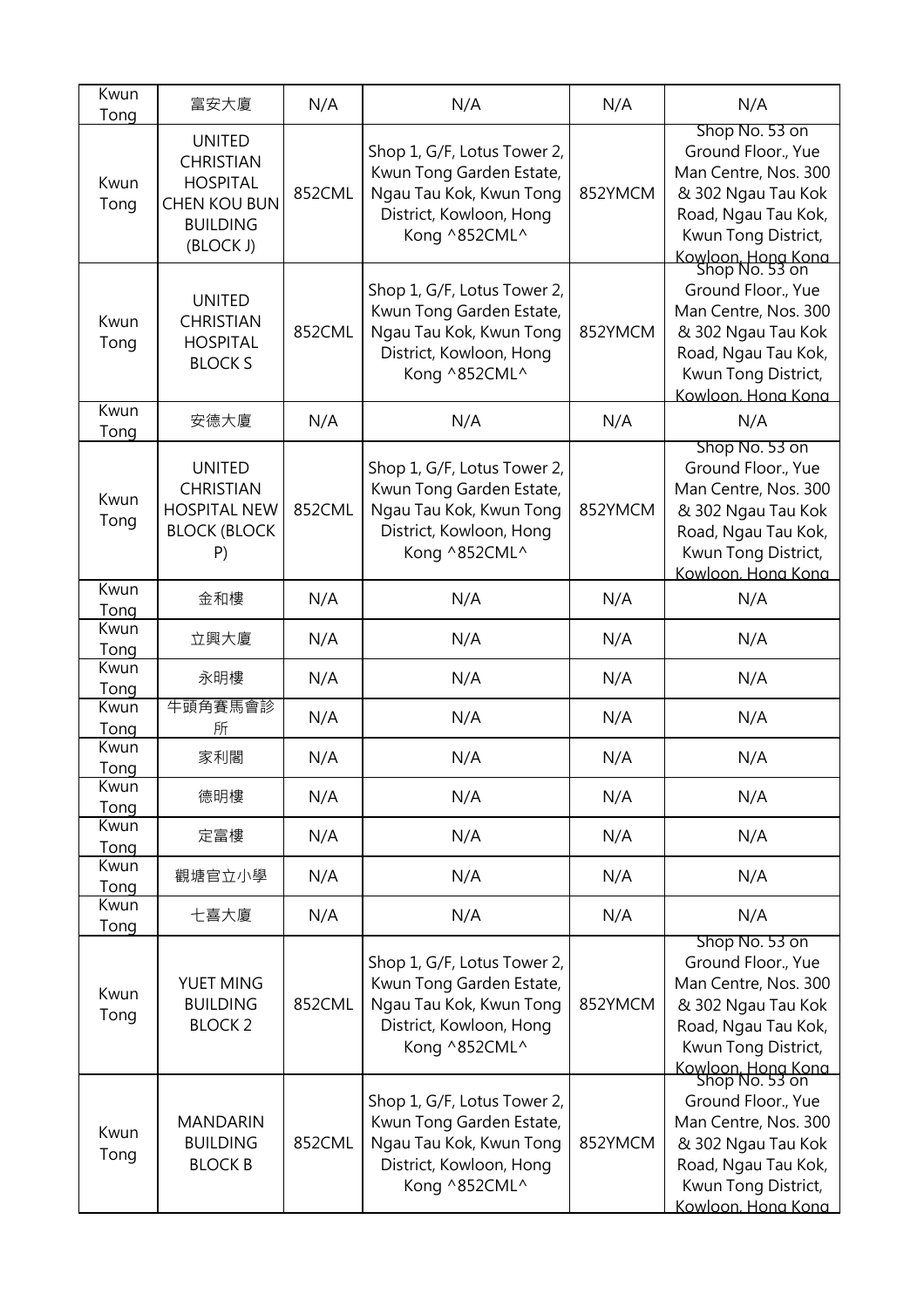| Kwun<br>Tong | 富安大廈                                                                                                        | N/A    | N/A                                                                                                                            | N/A     | N/A                                                                                                                                                                          |
|--------------|-------------------------------------------------------------------------------------------------------------|--------|--------------------------------------------------------------------------------------------------------------------------------|---------|------------------------------------------------------------------------------------------------------------------------------------------------------------------------------|
| Kwun<br>Tong | <b>UNITED</b><br><b>CHRISTIAN</b><br><b>HOSPITAL</b><br><b>CHEN KOU BUN</b><br><b>BUILDING</b><br>(BLOCK J) | 852CML | Shop 1, G/F, Lotus Tower 2,<br>Kwun Tong Garden Estate,<br>Ngau Tau Kok, Kwun Tong<br>District, Kowloon, Hong<br>Kong ^852CML^ | 852YMCM | Shop No. 53 on<br>Ground Floor., Yue<br>Man Centre, Nos. 300<br>& 302 Ngau Tau Kok<br>Road, Ngau Tau Kok,<br>Kwun Tong District,<br>Kowloon, Hong Kong<br>Shop No. 53 on     |
| Kwun<br>Tong | <b>UNITED</b><br><b>CHRISTIAN</b><br><b>HOSPITAL</b><br><b>BLOCK S</b>                                      | 852CML | Shop 1, G/F, Lotus Tower 2,<br>Kwun Tong Garden Estate,<br>Ngau Tau Kok, Kwun Tong<br>District, Kowloon, Hong<br>Kong ^852CML^ | 852YMCM | Ground Floor., Yue<br>Man Centre, Nos. 300<br>& 302 Ngau Tau Kok<br>Road, Ngau Tau Kok,<br>Kwun Tong District,<br>Kowloon, Hong Kong                                         |
| Kwun<br>Tong | 安德大廈                                                                                                        | N/A    | N/A                                                                                                                            | N/A     | N/A                                                                                                                                                                          |
| Kwun<br>Tong | <b>UNITED</b><br><b>CHRISTIAN</b><br><b>HOSPITAL NEW</b><br><b>BLOCK (BLOCK</b><br>P)                       | 852CML | Shop 1, G/F, Lotus Tower 2,<br>Kwun Tong Garden Estate,<br>Ngau Tau Kok, Kwun Tong<br>District, Kowloon, Hong<br>Kong ^852CML^ | 852YMCM | Shop No. 53 on<br>Ground Floor., Yue<br>Man Centre, Nos. 300<br>& 302 Ngau Tau Kok<br>Road, Ngau Tau Kok,<br>Kwun Tong District,<br>Kowloon. Hong Kong                       |
| Kwun<br>Tong | 金和樓                                                                                                         | N/A    | N/A                                                                                                                            | N/A     | N/A                                                                                                                                                                          |
| Kwun<br>Tong | 立興大廈                                                                                                        | N/A    | N/A                                                                                                                            | N/A     | N/A                                                                                                                                                                          |
| Kwun<br>Tong | 永明樓                                                                                                         | N/A    | N/A                                                                                                                            | N/A     | N/A                                                                                                                                                                          |
| Kwun<br>Tong | 牛頭角賽馬會診<br>所                                                                                                | N/A    | N/A                                                                                                                            | N/A     | N/A                                                                                                                                                                          |
| Kwun<br>Tong | 家利閣                                                                                                         | N/A    | N/A                                                                                                                            | N/A     | N/A                                                                                                                                                                          |
| Kwun<br>Tong | 德明樓                                                                                                         | N/A    | N/A                                                                                                                            | N/A     | N/A                                                                                                                                                                          |
| Kwun<br>Tong | 定富樓                                                                                                         | N/A    | N/A                                                                                                                            | N/A     | N/A                                                                                                                                                                          |
| Kwun<br>Tong | 觀塘官立小學                                                                                                      | N/A    | N/A                                                                                                                            | N/A     | N/A                                                                                                                                                                          |
| Kwun<br>Tong | 七喜大廈                                                                                                        | N/A    | N/A                                                                                                                            | N/A     | N/A                                                                                                                                                                          |
| Kwun<br>Tong | YUET MING<br><b>BUILDING</b><br><b>BLOCK2</b>                                                               | 852CML | Shop 1, G/F, Lotus Tower 2,<br>Kwun Tong Garden Estate,<br>Ngau Tau Kok, Kwun Tong<br>District, Kowloon, Hong<br>Kong ^852CML^ | 852YMCM | Shop No. 53 on<br>Ground Floor., Yue<br>Man Centre, Nos. 300<br>& 302 Ngau Tau Kok<br>Road, Ngau Tau Kok,<br>Kwun Tong District,                                             |
| Kwun<br>Tong | <b>MANDARIN</b><br><b>BUILDING</b><br><b>BLOCK B</b>                                                        | 852CML | Shop 1, G/F, Lotus Tower 2,<br>Kwun Tong Garden Estate,<br>Ngau Tau Kok, Kwun Tong<br>District, Kowloon, Hong<br>Kong ^852CML^ | 852YMCM | Kowloon, Hong Kong<br>Shop No. 53 on<br>Ground Floor., Yue<br>Man Centre, Nos. 300<br>& 302 Ngau Tau Kok<br>Road, Ngau Tau Kok,<br>Kwun Tong District,<br>Kowloon, Hona Kona |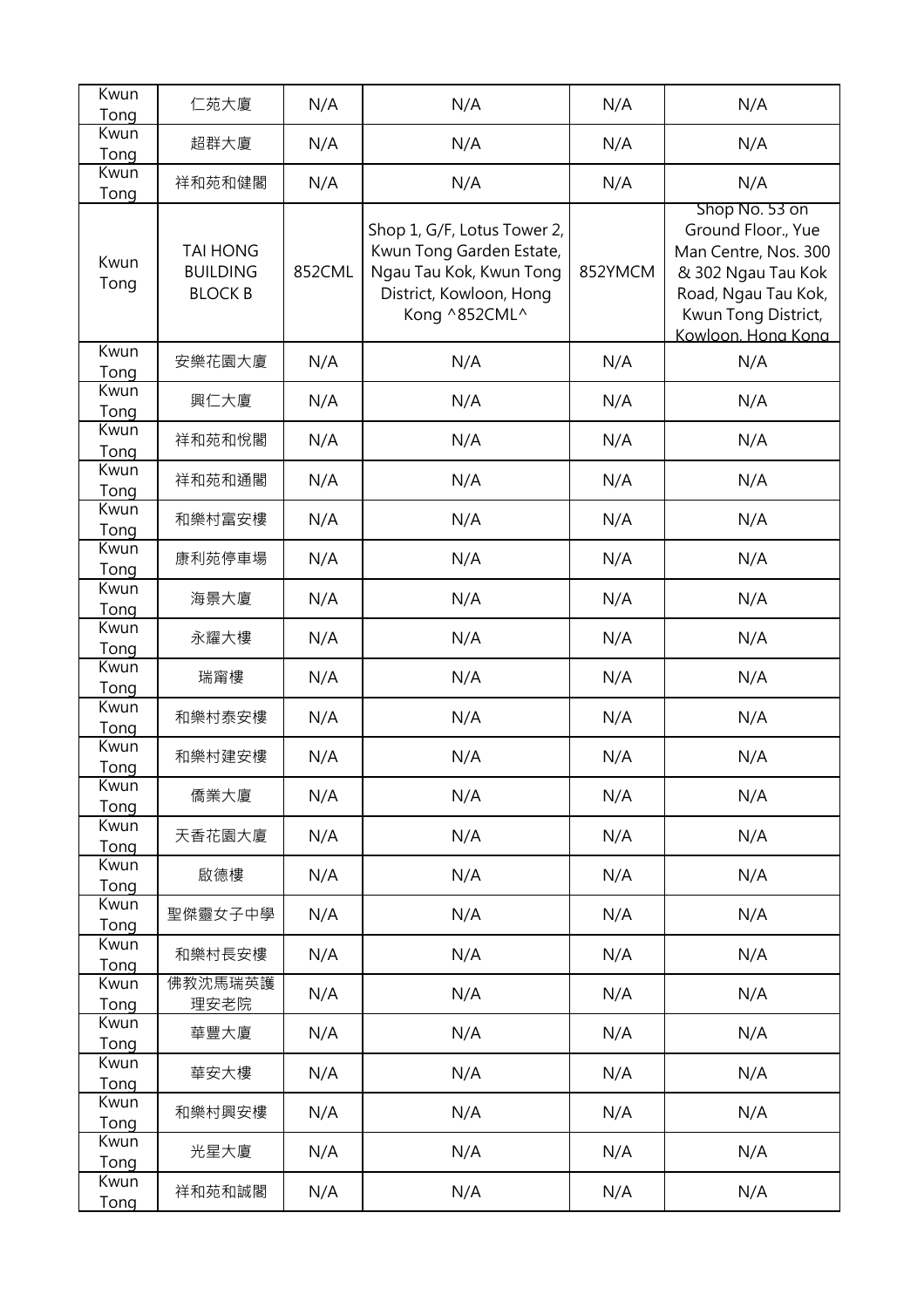| Kwun<br>Tong | 仁苑大廈                                                 | N/A    | N/A                                                                                                                            | N/A     | N/A                                                                                                                                                    |
|--------------|------------------------------------------------------|--------|--------------------------------------------------------------------------------------------------------------------------------|---------|--------------------------------------------------------------------------------------------------------------------------------------------------------|
| Kwun         | 超群大廈                                                 | N/A    | N/A                                                                                                                            | N/A     | N/A                                                                                                                                                    |
| Tong         |                                                      |        |                                                                                                                                |         |                                                                                                                                                        |
| Kwun<br>Tong | 祥和苑和健閣                                               | N/A    | N/A                                                                                                                            | N/A     | N/A                                                                                                                                                    |
| Kwun<br>Tong | <b>TAI HONG</b><br><b>BUILDING</b><br><b>BLOCK B</b> | 852CML | Shop 1, G/F, Lotus Tower 2,<br>Kwun Tong Garden Estate,<br>Ngau Tau Kok, Kwun Tong<br>District, Kowloon, Hong<br>Kong ^852CML^ | 852YMCM | Shop No. 53 on<br>Ground Floor., Yue<br>Man Centre, Nos. 300<br>& 302 Ngau Tau Kok<br>Road, Ngau Tau Kok,<br>Kwun Tong District,<br>Kowloon. Hong Kong |
| Kwun<br>Tong | 安樂花園大廈                                               | N/A    | N/A                                                                                                                            | N/A     | N/A                                                                                                                                                    |
| Kwun<br>Tong | 興仁大廈                                                 | N/A    | N/A                                                                                                                            | N/A     | N/A                                                                                                                                                    |
| Kwun<br>Tong | 祥和苑和悅閣                                               | N/A    | N/A                                                                                                                            | N/A     | N/A                                                                                                                                                    |
| Kwun<br>Tong | 祥和苑和通閣                                               | N/A    | N/A                                                                                                                            | N/A     | N/A                                                                                                                                                    |
| Kwun<br>Tong | 和樂村富安樓                                               | N/A    | N/A                                                                                                                            | N/A     | N/A                                                                                                                                                    |
| Kwun<br>Tong | 康利苑停車場                                               | N/A    | N/A                                                                                                                            | N/A     | N/A                                                                                                                                                    |
| Kwun<br>Tong | 海景大廈                                                 | N/A    | N/A                                                                                                                            | N/A     | N/A                                                                                                                                                    |
| Kwun<br>Tong | 永耀大樓                                                 | N/A    | N/A                                                                                                                            | N/A     | N/A                                                                                                                                                    |
| Kwun<br>Tong | 瑞甯樓                                                  | N/A    | N/A                                                                                                                            | N/A     | N/A                                                                                                                                                    |
| Kwun<br>Tong | 和樂村泰安樓                                               | N/A    | N/A                                                                                                                            | N/A     | N/A                                                                                                                                                    |
| Kwun<br>Tong | 和樂村建安樓                                               | N/A    | N/A                                                                                                                            | N/A     | N/A                                                                                                                                                    |
| Kwun<br>Tong | 僑業大廈                                                 | N/A    | N/A                                                                                                                            | N/A     | N/A                                                                                                                                                    |
| Kwun<br>Tong | 天香花園大廈                                               | N/A    | N/A                                                                                                                            | N/A     | N/A                                                                                                                                                    |
| Kwun<br>Tong | 啟德樓                                                  | N/A    | N/A                                                                                                                            | N/A     | N/A                                                                                                                                                    |
| Kwun<br>Tong | 聖傑靈女子中學                                              | N/A    | N/A                                                                                                                            | N/A     | N/A                                                                                                                                                    |
| Kwun<br>Tong | 和樂村長安樓                                               | N/A    | N/A                                                                                                                            | N/A     | N/A                                                                                                                                                    |
| Kwun<br>Tong | 佛教沈馬瑞英護<br>理安老院                                      | N/A    | N/A                                                                                                                            | N/A     | N/A                                                                                                                                                    |
| Kwun<br>Tong | 華豐大廈                                                 | N/A    | N/A                                                                                                                            | N/A     | N/A                                                                                                                                                    |
| Kwun<br>Tong | 華安大樓                                                 | N/A    | N/A                                                                                                                            | N/A     | N/A                                                                                                                                                    |
| Kwun<br>Tong | 和樂村興安樓                                               | N/A    | N/A                                                                                                                            | N/A     | N/A                                                                                                                                                    |
| Kwun<br>Tong | 光星大廈                                                 | N/A    | N/A                                                                                                                            | N/A     | N/A                                                                                                                                                    |
| Kwun<br>Tong | 祥和苑和誠閣                                               | N/A    | N/A                                                                                                                            | N/A     | N/A                                                                                                                                                    |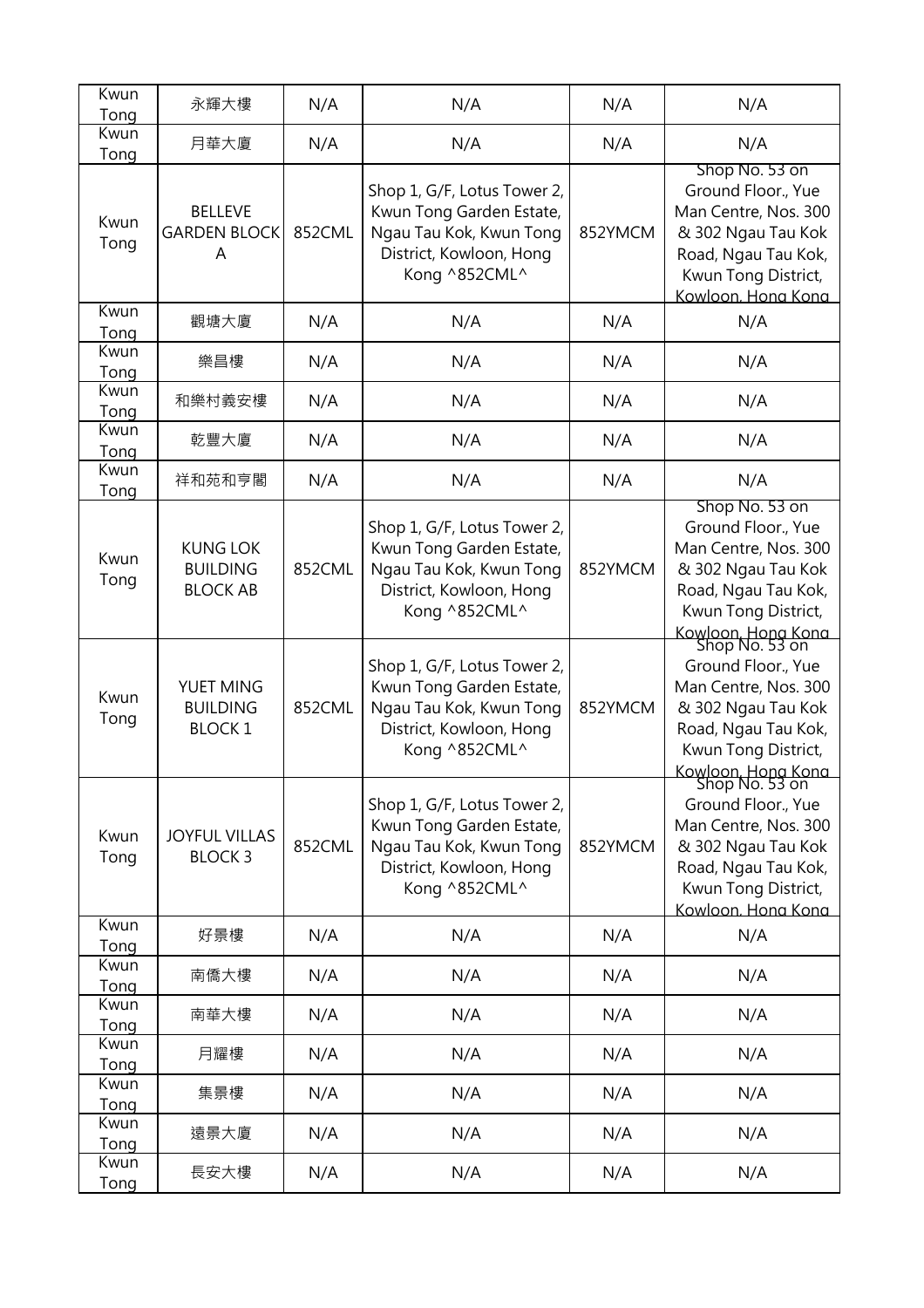| Kwun<br>Tong        | 永輝大樓                                                  | N/A    | N/A                                                                                                                            | N/A     | N/A                                                                                                                                                                      |
|---------------------|-------------------------------------------------------|--------|--------------------------------------------------------------------------------------------------------------------------------|---------|--------------------------------------------------------------------------------------------------------------------------------------------------------------------------|
| Kwun<br>Tong        | 月華大廈                                                  | N/A    | N/A                                                                                                                            | N/A     | N/A                                                                                                                                                                      |
| Kwun<br>Tong        | <b>BELLEVE</b><br><b>GARDEN BLOCK</b><br>A            | 852CML | Shop 1, G/F, Lotus Tower 2,<br>Kwun Tong Garden Estate,<br>Ngau Tau Kok, Kwun Tong<br>District, Kowloon, Hong<br>Kong ^852CML^ | 852YMCM | Shop No. 53 on<br>Ground Floor., Yue<br>Man Centre, Nos. 300<br>& 302 Ngau Tau Kok<br>Road, Ngau Tau Kok,<br>Kwun Tong District,<br>Kowloon, Hong Kong                   |
| Kwun<br>Tong        | 觀塘大廈                                                  | N/A    | N/A                                                                                                                            | N/A     | N/A                                                                                                                                                                      |
| Kwun<br>Tong        | 樂昌樓                                                   | N/A    | N/A                                                                                                                            | N/A     | N/A                                                                                                                                                                      |
| Kwun<br>Tong        | 和樂村義安樓                                                | N/A    | N/A                                                                                                                            | N/A     | N/A                                                                                                                                                                      |
| Kwun<br>Tong        | 乾豐大廈                                                  | N/A    | N/A                                                                                                                            | N/A     | N/A                                                                                                                                                                      |
| Kwun<br>Tong        | 祥和苑和亨閣                                                | N/A    | N/A                                                                                                                            | N/A     | N/A                                                                                                                                                                      |
| Kwun<br>Tong        | <b>KUNG LOK</b><br><b>BUILDING</b><br><b>BLOCK AB</b> | 852CML | Shop 1, G/F, Lotus Tower 2,<br>Kwun Tong Garden Estate,<br>Ngau Tau Kok, Kwun Tong<br>District, Kowloon, Hong<br>Kong ^852CML^ | 852YMCM | Shop No. 53 on<br>Ground Floor., Yue<br>Man Centre, Nos. 300<br>& 302 Ngau Tau Kok<br>Road, Ngau Tau Kok,<br>Kwun Tong District,<br>Kowloon, Hong Kong<br>Shop No. 53 on |
| Kwun<br>Tong        | YUET MING<br><b>BUILDING</b><br><b>BLOCK1</b>         | 852CML | Shop 1, G/F, Lotus Tower 2,<br>Kwun Tong Garden Estate,<br>Ngau Tau Kok, Kwun Tong<br>District, Kowloon, Hong<br>Kong ^852CML^ | 852YMCM | Ground Floor., Yue<br>Man Centre, Nos. 300<br>& 302 Ngau Tau Kok<br>Road, Ngau Tau Kok,<br>Kwun Tong District,<br>Kowloon. Hong Kong                                     |
| Kwun<br>Tong        | <b>JOYFUL VILLAS</b><br><b>BLOCK 3</b>                | 852CML | Shop 1, G/F, Lotus Tower 2,<br>Kwun Tong Garden Estate,<br>Ngau Tau Kok, Kwun Tong<br>District, Kowloon, Hong<br>Kong ^852CML^ | 852YMCM | Shop No. 53 on<br>Ground Floor., Yue<br>Man Centre, Nos. 300<br>& 302 Ngau Tau Kok<br>Road, Ngau Tau Kok,<br>Kwun Tong District,<br>Kowloon. Hong Kong                   |
| Kwun<br>Tong        | 好景樓                                                   | N/A    | N/A                                                                                                                            | N/A     | N/A                                                                                                                                                                      |
| Kwun<br>Tong        | 南僑大樓                                                  | N/A    | N/A                                                                                                                            | N/A     | N/A                                                                                                                                                                      |
| Kwun<br>Tong        | 南華大樓                                                  | N/A    | N/A                                                                                                                            | N/A     | N/A                                                                                                                                                                      |
| Kwun<br>Tong        | 月耀樓                                                   | N/A    | N/A                                                                                                                            | N/A     | N/A                                                                                                                                                                      |
| Kwun<br>Tong        | 集景樓                                                   | N/A    | N/A                                                                                                                            | N/A     | N/A                                                                                                                                                                      |
| Kwun<br>Tong        | 遠景大廈                                                  | N/A    | N/A                                                                                                                            | N/A     | N/A                                                                                                                                                                      |
| Kwun<br><b>Tong</b> | 長安大樓                                                  | N/A    | N/A                                                                                                                            | N/A     | N/A                                                                                                                                                                      |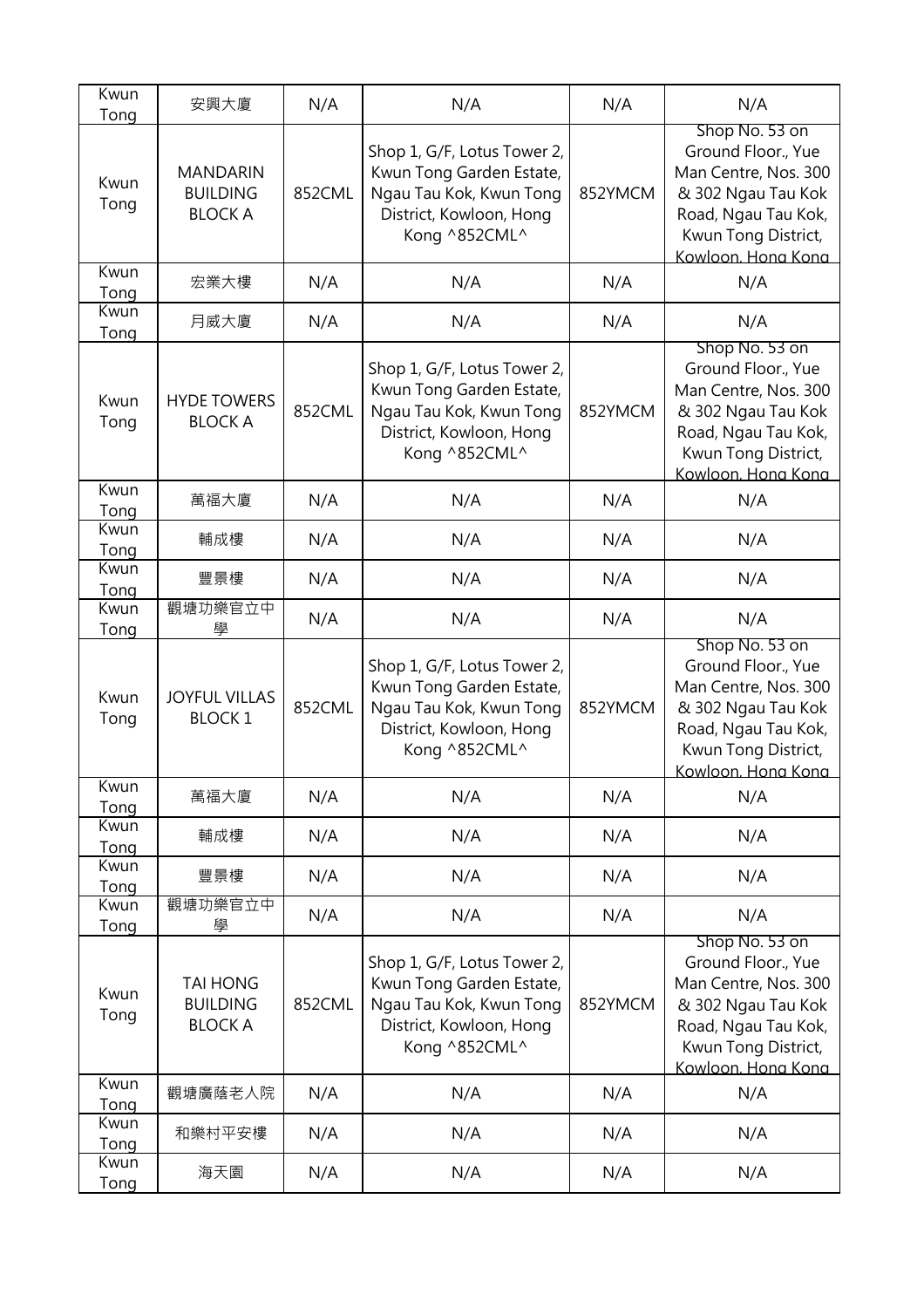| Kwun<br>Tong | 安興大廈                                                 | N/A    | N/A                                                                                                                            | N/A     | N/A                                                                                                                                                    |
|--------------|------------------------------------------------------|--------|--------------------------------------------------------------------------------------------------------------------------------|---------|--------------------------------------------------------------------------------------------------------------------------------------------------------|
| Kwun<br>Tong | <b>MANDARIN</b><br><b>BUILDING</b><br><b>BLOCK A</b> | 852CML | Shop 1, G/F, Lotus Tower 2,<br>Kwun Tong Garden Estate,<br>Ngau Tau Kok, Kwun Tong<br>District, Kowloon, Hong<br>Kong ^852CML^ | 852YMCM | Shop No. 53 on<br>Ground Floor., Yue<br>Man Centre, Nos. 300<br>& 302 Ngau Tau Kok<br>Road, Ngau Tau Kok,<br>Kwun Tong District,<br>Kowloon, Hong Kong |
| Kwun<br>Tong | 宏業大樓                                                 | N/A    | N/A                                                                                                                            | N/A     | N/A                                                                                                                                                    |
| Kwun<br>Tong | 月威大廈                                                 | N/A    | N/A                                                                                                                            | N/A     | N/A                                                                                                                                                    |
| Kwun<br>Tong | <b>HYDE TOWERS</b><br><b>BLOCK A</b>                 | 852CML | Shop 1, G/F, Lotus Tower 2,<br>Kwun Tong Garden Estate,<br>Ngau Tau Kok, Kwun Tong<br>District, Kowloon, Hong<br>Kong ^852CML^ | 852YMCM | Shop No. 53 on<br>Ground Floor., Yue<br>Man Centre, Nos. 300<br>& 302 Ngau Tau Kok<br>Road, Ngau Tau Kok,<br>Kwun Tong District,<br>Kowloon, Hona Kona |
| Kwun<br>Tong | 萬福大廈                                                 | N/A    | N/A                                                                                                                            | N/A     | N/A                                                                                                                                                    |
| Kwun<br>Tong | 輔成樓                                                  | N/A    | N/A                                                                                                                            | N/A     | N/A                                                                                                                                                    |
| Kwun<br>Tong | 豐景樓                                                  | N/A    | N/A                                                                                                                            | N/A     | N/A                                                                                                                                                    |
| Kwun<br>Tong | 觀塘功樂官立中<br>學                                         | N/A    | N/A                                                                                                                            | N/A     | N/A                                                                                                                                                    |
| Kwun<br>Tong | <b>JOYFUL VILLAS</b><br><b>BLOCK1</b>                | 852CML | Shop 1, G/F, Lotus Tower 2,<br>Kwun Tong Garden Estate,<br>Ngau Tau Kok, Kwun Tong<br>District, Kowloon, Hong<br>Kong ^852CML^ | 852YMCM | Shop No. 53 on<br>Ground Floor., Yue<br>Man Centre, Nos. 300<br>& 302 Ngau Tau Kok<br>Road, Ngau Tau Kok,<br>Kwun Tong District,<br>Kowloon, Hong Kong |
| Kwun<br>Tong | 萬福大廈                                                 | N/A    | N/A                                                                                                                            | N/A     | N/A                                                                                                                                                    |
| Kwun<br>Tong | 輔成樓                                                  | N/A    | N/A                                                                                                                            | N/A     | N/A                                                                                                                                                    |
| Kwun<br>Tong | 豐景樓                                                  | N/A    | N/A                                                                                                                            | N/A     | N/A                                                                                                                                                    |
| Kwun<br>Tong | 觀塘功樂官立中<br>學                                         | N/A    | N/A                                                                                                                            | N/A     | N/A                                                                                                                                                    |
| Kwun<br>Tong | <b>TAI HONG</b><br><b>BUILDING</b><br><b>BLOCK A</b> | 852CML | Shop 1, G/F, Lotus Tower 2,<br>Kwun Tong Garden Estate,<br>Ngau Tau Kok, Kwun Tong<br>District, Kowloon, Hong<br>Kong ^852CML^ | 852YMCM | Shop No. 53 on<br>Ground Floor., Yue<br>Man Centre, Nos. 300<br>& 302 Ngau Tau Kok<br>Road, Ngau Tau Kok,<br>Kwun Tong District,<br>Kowloon. Hong Kong |
| Kwun<br>Tong | 觀塘廣蔭老人院                                              | N/A    | N/A                                                                                                                            | N/A     | N/A                                                                                                                                                    |
| Kwun<br>Tong | 和樂村平安樓                                               | N/A    | N/A                                                                                                                            | N/A     | N/A                                                                                                                                                    |
| Kwun<br>Tong | 海天園                                                  | N/A    | N/A                                                                                                                            | N/A     | N/A                                                                                                                                                    |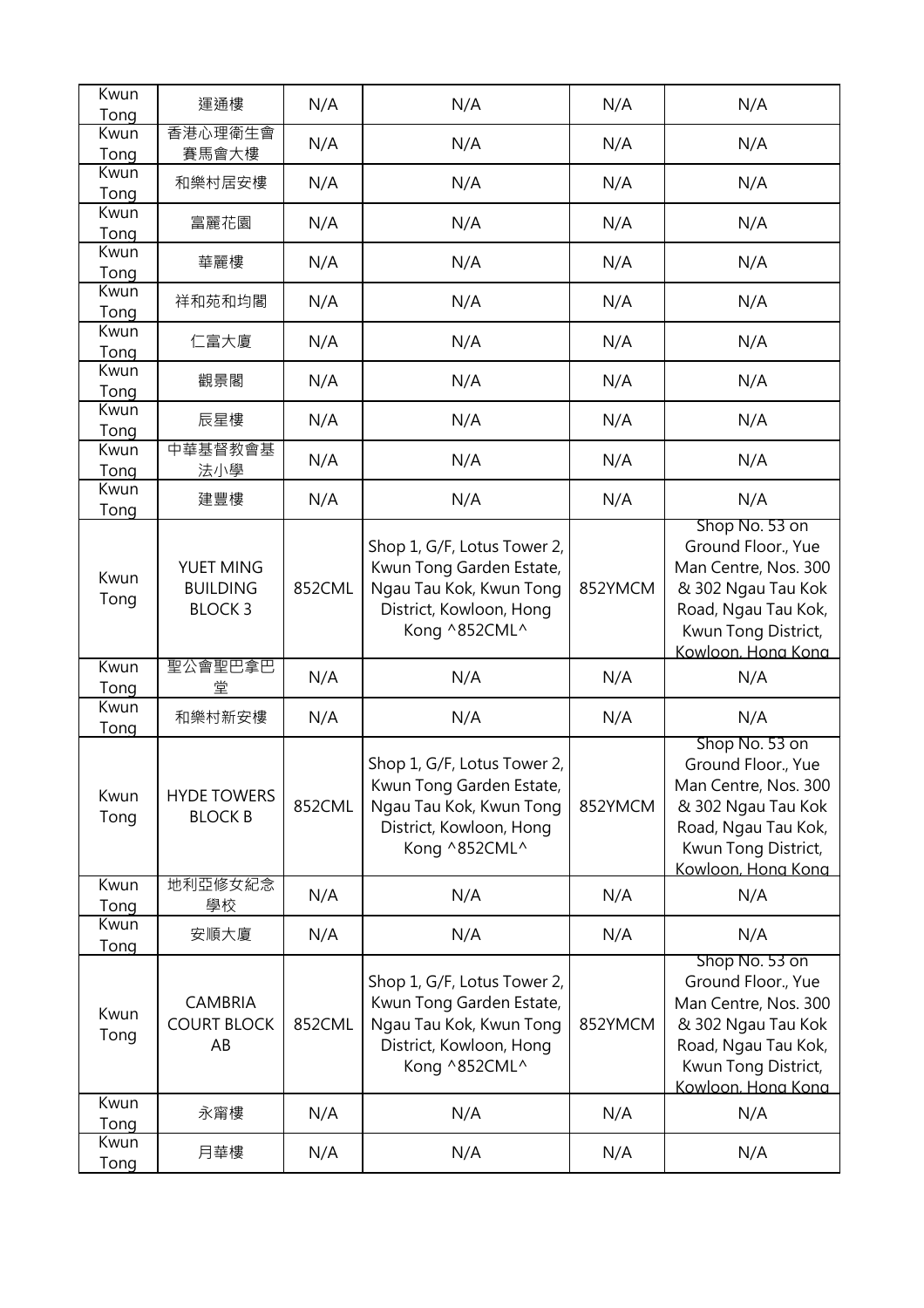| Kwun<br>Tong         | 運通樓                                           | N/A    | N/A                                                                                                                            | N/A     | N/A                                                                                                                                                    |
|----------------------|-----------------------------------------------|--------|--------------------------------------------------------------------------------------------------------------------------------|---------|--------------------------------------------------------------------------------------------------------------------------------------------------------|
| Kwun                 | 香港心理衛生會                                       | N/A    | N/A                                                                                                                            | N/A     | N/A                                                                                                                                                    |
| Tong<br>Kwun         | 賽馬會大樓<br>和樂村居安樓                               | N/A    | N/A                                                                                                                            | N/A     | N/A                                                                                                                                                    |
| Tong<br>Kwun         | 富麗花園                                          | N/A    | N/A                                                                                                                            | N/A     | N/A                                                                                                                                                    |
| Tong<br>Kwun         | 華麗樓                                           | N/A    | N/A                                                                                                                            | N/A     | N/A                                                                                                                                                    |
| Tong<br>Kwun         | 祥和苑和均閣                                        | N/A    | N/A                                                                                                                            | N/A     | N/A                                                                                                                                                    |
| Tong<br>Kwun         | 仁富大廈                                          | N/A    | N/A                                                                                                                            | N/A     | N/A                                                                                                                                                    |
| Tong<br>Kwun         | 觀景閣                                           | N/A    | N/A                                                                                                                            | N/A     | N/A                                                                                                                                                    |
| Tong<br>Kwun         | 辰星樓                                           | N/A    | N/A                                                                                                                            | N/A     | N/A                                                                                                                                                    |
| Tong<br>Kwun         | 中華基督教會基                                       | N/A    | N/A                                                                                                                            | N/A     | N/A                                                                                                                                                    |
| Tong<br>Kwun         | 法小學<br>建豐樓                                    | N/A    | N/A                                                                                                                            | N/A     | N/A                                                                                                                                                    |
| Tong<br>Kwun<br>Tong | YUET MING<br><b>BUILDING</b><br><b>BLOCK3</b> | 852CML | Shop 1, G/F, Lotus Tower 2,<br>Kwun Tong Garden Estate,<br>Ngau Tau Kok, Kwun Tong<br>District, Kowloon, Hong<br>Kong ^852CML^ | 852YMCM | Shop No. 53 on<br>Ground Floor., Yue<br>Man Centre, Nos. 300<br>& 302 Ngau Tau Kok<br>Road, Ngau Tau Kok,<br>Kwun Tong District,<br>Kowloon. Hong Kong |
| Kwun<br>Tong         | 聖公會聖巴拿巴<br>堂                                  | N/A    | N/A                                                                                                                            | N/A     | N/A                                                                                                                                                    |
| Kwun<br>Tong         | 和樂村新安樓                                        | N/A    | N/A                                                                                                                            | N/A     | N/A                                                                                                                                                    |
| Kwun<br>Tong         | <b>HYDE TOWERS</b><br><b>BLOCK B</b>          | 852CML | Shop 1, G/F, Lotus Tower 2,<br>Kwun Tong Garden Estate,<br>Ngau Tau Kok, Kwun Tong<br>District, Kowloon, Hong<br>Kong ^852CML^ | 852YMCM | Shop No. 53 on<br>Ground Floor., Yue<br>Man Centre, Nos. 300<br>& 302 Ngau Tau Kok<br>Road, Ngau Tau Kok,<br>Kwun Tong District,<br>Kowloon. Hona Kona |
| Kwun<br>Tong         | 地利亞修女紀念<br>學校                                 | N/A    | N/A                                                                                                                            | N/A     | N/A                                                                                                                                                    |
| Kwun<br>Tong         | 安順大廈                                          | N/A    | N/A                                                                                                                            | N/A     | N/A                                                                                                                                                    |
| Kwun<br>Tong         | <b>CAMBRIA</b><br><b>COURT BLOCK</b><br>AB    | 852CML | Shop 1, G/F, Lotus Tower 2,<br>Kwun Tong Garden Estate,<br>Ngau Tau Kok, Kwun Tong<br>District, Kowloon, Hong<br>Kong ^852CML^ | 852YMCM | Shop No. 53 on<br>Ground Floor., Yue<br>Man Centre, Nos. 300<br>& 302 Ngau Tau Kok<br>Road, Ngau Tau Kok,<br>Kwun Tong District,<br>Kowloon. Hong Kong |
| Kwun<br>Tong         | 永甯樓                                           | N/A    | N/A                                                                                                                            | N/A     | N/A                                                                                                                                                    |
| Kwun<br>Tong         | 月華樓                                           | N/A    | N/A                                                                                                                            | N/A     | N/A                                                                                                                                                    |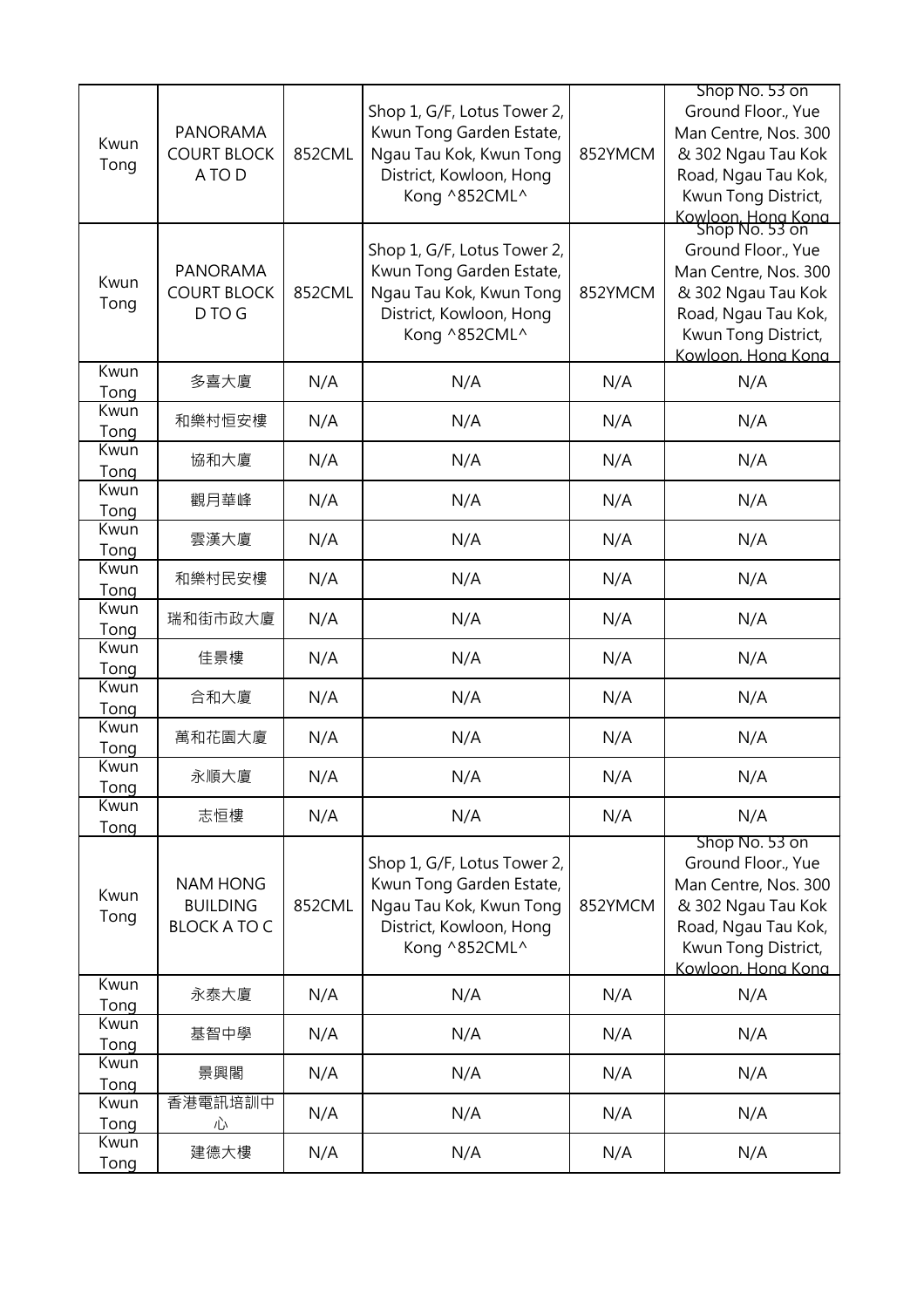| Kwun<br>Tong        | <b>PANORAMA</b><br><b>COURT BLOCK</b><br>A TO D           | 852CML | Shop 1, G/F, Lotus Tower 2,<br>Kwun Tong Garden Estate,<br>Ngau Tau Kok, Kwun Tong<br>District, Kowloon, Hong<br>Kong ^852CML^ | 852YMCM | Shop No. 53 on<br>Ground Floor., Yue<br>Man Centre, Nos. 300<br>& 302 Ngau Tau Kok<br>Road, Ngau Tau Kok,<br>Kwun Tong District,<br>Kowloon, Hong Kong<br>Shop No. 53 on |
|---------------------|-----------------------------------------------------------|--------|--------------------------------------------------------------------------------------------------------------------------------|---------|--------------------------------------------------------------------------------------------------------------------------------------------------------------------------|
| Kwun<br>Tong        | <b>PANORAMA</b><br><b>COURT BLOCK</b><br>D TO G           | 852CML | Shop 1, G/F, Lotus Tower 2,<br>Kwun Tong Garden Estate,<br>Ngau Tau Kok, Kwun Tong<br>District, Kowloon, Hong<br>Kong ^852CML^ | 852YMCM | Ground Floor., Yue<br>Man Centre, Nos. 300<br>& 302 Ngau Tau Kok<br>Road, Ngau Tau Kok,<br>Kwun Tong District,<br>Kowloon, Hong Kong                                     |
| Kwun<br>Tong        | 多喜大廈                                                      | N/A    | N/A                                                                                                                            | N/A     | N/A                                                                                                                                                                      |
| Kwun<br>Tong        | 和樂村恒安樓                                                    | N/A    | N/A                                                                                                                            | N/A     | N/A                                                                                                                                                                      |
| Kwun<br>Tong        | 協和大廈                                                      | N/A    | N/A                                                                                                                            | N/A     | N/A                                                                                                                                                                      |
| Kwun<br>Tong        | 觀月華峰                                                      | N/A    | N/A                                                                                                                            | N/A     | N/A                                                                                                                                                                      |
| Kwun<br>Tong        | 雲漢大廈                                                      | N/A    | N/A                                                                                                                            | N/A     | N/A                                                                                                                                                                      |
| Kwun<br>Tong        | 和樂村民安樓                                                    | N/A    | N/A                                                                                                                            | N/A     | N/A                                                                                                                                                                      |
| Kwun<br>Tong        | 瑞和街市政大廈                                                   | N/A    | N/A                                                                                                                            | N/A     | N/A                                                                                                                                                                      |
| Kwun<br>Tong        | 佳景樓                                                       | N/A    | N/A                                                                                                                            | N/A     | N/A                                                                                                                                                                      |
| Kwun<br>Tong        | 合和大廈                                                      | N/A    | N/A                                                                                                                            | N/A     | N/A                                                                                                                                                                      |
| Kwun<br>Tong        | 萬和花園大廈                                                    | N/A    | N/A                                                                                                                            | N/A     | N/A                                                                                                                                                                      |
| Kwun<br>Tong        | 永順大廈                                                      | N/A    | N/A                                                                                                                            | N/A     | N/A                                                                                                                                                                      |
| Kwun<br>Tong        | 志恒樓                                                       | N/A    | N/A                                                                                                                            | N/A     | N/A                                                                                                                                                                      |
| Kwun<br>Tong        | <b>NAM HONG</b><br><b>BUILDING</b><br><b>BLOCK A TO C</b> | 852CML | Shop 1, G/F, Lotus Tower 2,<br>Kwun Tong Garden Estate,<br>Ngau Tau Kok, Kwun Tong<br>District, Kowloon, Hong<br>Kong ^852CML^ | 852YMCM | Shop No. 53 on<br>Ground Floor., Yue<br>Man Centre, Nos. 300<br>& 302 Ngau Tau Kok<br>Road, Ngau Tau Kok,<br>Kwun Tong District,<br>Kowloon. Hona Kona                   |
| Kwun<br>Tong        | 永泰大廈                                                      | N/A    | N/A                                                                                                                            | N/A     | N/A                                                                                                                                                                      |
| Kwun<br>Tong        | 基智中學                                                      | N/A    | N/A                                                                                                                            | N/A     | N/A                                                                                                                                                                      |
| Kwun<br>Tong        | 景興閣                                                       | N/A    | N/A                                                                                                                            | N/A     | N/A                                                                                                                                                                      |
| Kwun<br>Tong        | 香港電訊培訓中<br>心                                              | N/A    | N/A                                                                                                                            | N/A     | N/A                                                                                                                                                                      |
| Kwun<br><b>Tong</b> | 建德大樓                                                      | N/A    | N/A                                                                                                                            | N/A     | N/A                                                                                                                                                                      |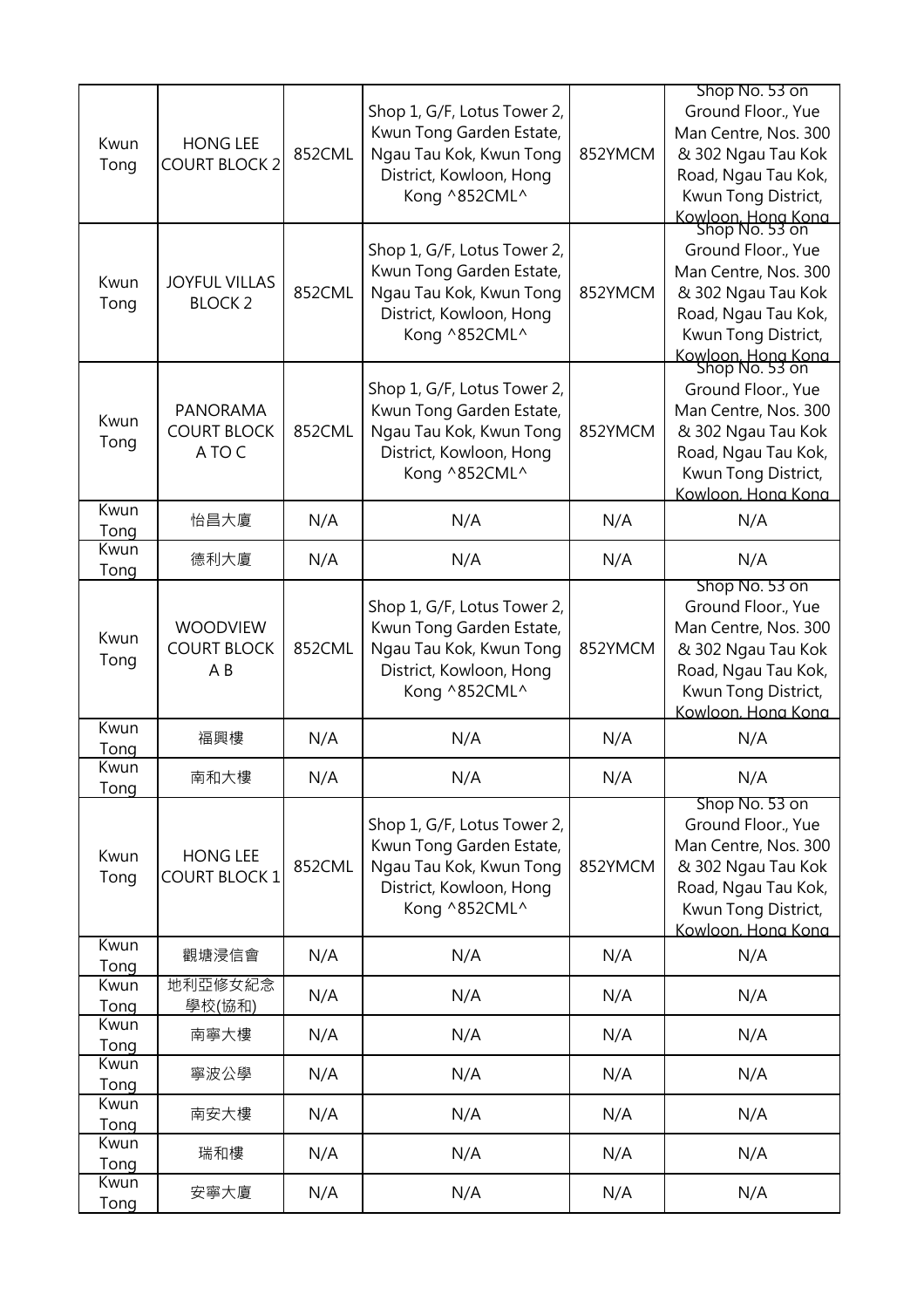| Kwun<br>Tong | <b>HONG LEE</b><br><b>COURT BLOCK 2</b>                 | 852CML | Shop 1, G/F, Lotus Tower 2,<br>Kwun Tong Garden Estate,<br>Ngau Tau Kok, Kwun Tong<br>District, Kowloon, Hong<br>Kong ^852CML^ | 852YMCM | Shop No. 53 on<br>Ground Floor., Yue<br>Man Centre, Nos. 300<br>& 302 Ngau Tau Kok<br>Road, Ngau Tau Kok,<br>Kwun Tong District,                                                               |
|--------------|---------------------------------------------------------|--------|--------------------------------------------------------------------------------------------------------------------------------|---------|------------------------------------------------------------------------------------------------------------------------------------------------------------------------------------------------|
| Kwun<br>Tong | <b>JOYFUL VILLAS</b><br><b>BLOCK 2</b>                  | 852CML | Shop 1, G/F, Lotus Tower 2,<br>Kwun Tong Garden Estate,<br>Ngau Tau Kok, Kwun Tong<br>District, Kowloon, Hong<br>Kong ^852CML^ | 852YMCM | Kowloon, Hong Kong<br>Shop No. 53 on<br>Ground Floor., Yue<br>Man Centre, Nos. 300<br>& 302 Ngau Tau Kok<br>Road, Ngau Tau Kok,<br>Kwun Tong District,<br>Kowloon, Hong Kong<br>Shop No. 53 on |
| Kwun<br>Tong | <b>PANORAMA</b><br><b>COURT BLOCK</b><br>A TO C         | 852CML | Shop 1, G/F, Lotus Tower 2,<br>Kwun Tong Garden Estate,<br>Ngau Tau Kok, Kwun Tong<br>District, Kowloon, Hong<br>Kong ^852CML^ | 852YMCM | Ground Floor., Yue<br>Man Centre, Nos. 300<br>& 302 Ngau Tau Kok<br>Road, Ngau Tau Kok,<br>Kwun Tong District,<br>Kowloon. Hong Kong                                                           |
| Kwun<br>Tong | 怡昌大廈                                                    | N/A    | N/A                                                                                                                            | N/A     | N/A                                                                                                                                                                                            |
| Kwun<br>Tong | 德利大廈                                                    | N/A    | N/A                                                                                                                            | N/A     | N/A                                                                                                                                                                                            |
| Kwun<br>Tong | <b>WOODVIEW</b><br><b>COURT BLOCK</b><br>A <sub>B</sub> | 852CML | Shop 1, G/F, Lotus Tower 2,<br>Kwun Tong Garden Estate,<br>Ngau Tau Kok, Kwun Tong<br>District, Kowloon, Hong<br>Kong ^852CML^ | 852YMCM | Shop No. 53 on<br>Ground Floor., Yue<br>Man Centre, Nos. 300<br>& 302 Ngau Tau Kok<br>Road, Ngau Tau Kok,<br>Kwun Tong District,<br>Kowloon. Hong Kong                                         |
| Kwun<br>Tong | 福興樓                                                     | N/A    | N/A                                                                                                                            | N/A     | N/A                                                                                                                                                                                            |
| Kwun<br>Tong | 南和大樓                                                    | N/A    | N/A                                                                                                                            | N/A     | N/A                                                                                                                                                                                            |
| Kwun<br>Tong | <b>HONG LEE</b><br><b>COURT BLOCK 1</b>                 | 852CML | Shop 1, G/F, Lotus Tower 2,<br>Kwun Tong Garden Estate,<br>Ngau Tau Kok, Kwun Tong<br>District, Kowloon, Hong<br>Kong ^852CML^ | 852YMCM | Shop No. 53 on<br>Ground Floor., Yue<br>Man Centre, Nos. 300<br>& 302 Ngau Tau Kok<br>Road, Ngau Tau Kok,<br>Kwun Tong District,<br>Kowloon. Hong Kong                                         |
| Kwun<br>Tong | 觀塘浸信會                                                   | N/A    | N/A                                                                                                                            | N/A     | N/A                                                                                                                                                                                            |
| Kwun<br>Tong | 地利亞修女紀念<br>學校(協和)                                       | N/A    | N/A                                                                                                                            | N/A     | N/A                                                                                                                                                                                            |
| Kwun<br>Tong | 南寧大樓                                                    | N/A    | N/A                                                                                                                            | N/A     | N/A                                                                                                                                                                                            |
| Kwun<br>Tong | 寧波公學                                                    | N/A    | N/A                                                                                                                            | N/A     | N/A                                                                                                                                                                                            |
| Kwun<br>Tong | 南安大樓                                                    | N/A    | N/A                                                                                                                            | N/A     | N/A                                                                                                                                                                                            |
| Kwun<br>Tong | 瑞和樓                                                     | N/A    | N/A                                                                                                                            | N/A     | N/A                                                                                                                                                                                            |
| Kwun<br>Tong | 安寧大廈                                                    | N/A    | N/A                                                                                                                            | N/A     | N/A                                                                                                                                                                                            |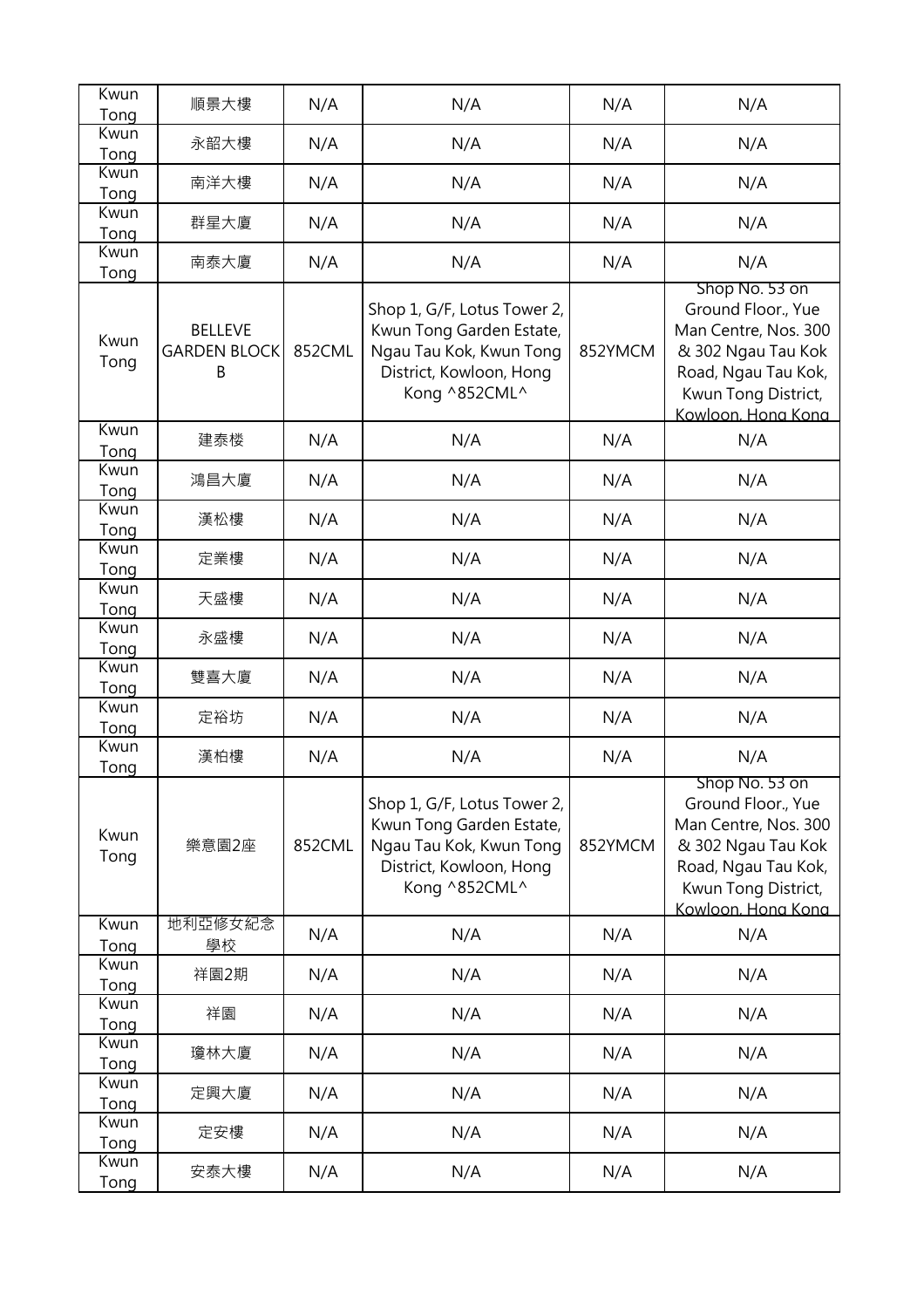| Kwun         |                                            |        |                                                                                                                                |         |                                                                                                                                                        |
|--------------|--------------------------------------------|--------|--------------------------------------------------------------------------------------------------------------------------------|---------|--------------------------------------------------------------------------------------------------------------------------------------------------------|
| Tong         | 順景大樓                                       | N/A    | N/A                                                                                                                            | N/A     | N/A                                                                                                                                                    |
| Kwun<br>Tong | 永韶大樓                                       | N/A    | N/A                                                                                                                            | N/A     | N/A                                                                                                                                                    |
| Kwun<br>Tong | 南洋大樓                                       | N/A    | N/A                                                                                                                            | N/A     | N/A                                                                                                                                                    |
| Kwun<br>Tong | 群星大廈                                       | N/A    | N/A                                                                                                                            | N/A     | N/A                                                                                                                                                    |
| Kwun<br>Tong | 南泰大廈                                       | N/A    | N/A                                                                                                                            | N/A     | N/A                                                                                                                                                    |
| Kwun<br>Tong | <b>BELLEVE</b><br><b>GARDEN BLOCK</b><br>Β | 852CML | Shop 1, G/F, Lotus Tower 2,<br>Kwun Tong Garden Estate,<br>Ngau Tau Kok, Kwun Tong<br>District, Kowloon, Hong<br>Kong ^852CML^ | 852YMCM | Shop No. 53 on<br>Ground Floor., Yue<br>Man Centre, Nos. 300<br>& 302 Ngau Tau Kok<br>Road, Ngau Tau Kok,<br>Kwun Tong District,<br>Kowloon, Hong Kong |
| Kwun<br>Tong | 建泰楼                                        | N/A    | N/A                                                                                                                            | N/A     | N/A                                                                                                                                                    |
| Kwun<br>Tong | 鴻昌大廈                                       | N/A    | N/A                                                                                                                            | N/A     | N/A                                                                                                                                                    |
| Kwun<br>Tong | 漢松樓                                        | N/A    | N/A                                                                                                                            | N/A     | N/A                                                                                                                                                    |
| Kwun<br>Tong | 定業樓                                        | N/A    | N/A                                                                                                                            | N/A     | N/A                                                                                                                                                    |
| Kwun<br>Tong | 天盛樓                                        | N/A    | N/A                                                                                                                            | N/A     | N/A                                                                                                                                                    |
| Kwun<br>Tong | 永盛樓                                        | N/A    | N/A                                                                                                                            | N/A     | N/A                                                                                                                                                    |
| Kwun<br>Tong | 雙喜大廈                                       | N/A    | N/A                                                                                                                            | N/A     | N/A                                                                                                                                                    |
| Kwun<br>Tong | 定裕坊                                        | N/A    | N/A                                                                                                                            | N/A     | N/A                                                                                                                                                    |
| Kwun<br>Tong | 漢柏樓                                        | N/A    | N/A                                                                                                                            | N/A     | N/A                                                                                                                                                    |
| Kwun<br>Tong | 樂意園2座                                      | 852CML | Shop 1, G/F, Lotus Tower 2,<br>Kwun Tong Garden Estate,<br>Ngau Tau Kok, Kwun Tong<br>District, Kowloon, Hong<br>Kong ^852CML^ | 852YMCM | Shop No. 53 on<br>Ground Floor., Yue<br>Man Centre, Nos. 300<br>& 302 Ngau Tau Kok<br>Road, Ngau Tau Kok,<br>Kwun Tong District,<br>Kowloon. Hong Kong |
| Kwun<br>Tong | 地利亞修女紀念<br>學校                              | N/A    | N/A                                                                                                                            | N/A     | N/A                                                                                                                                                    |
| Kwun<br>Tong | 祥園2期                                       | N/A    | N/A                                                                                                                            | N/A     | N/A                                                                                                                                                    |
| Kwun<br>Tong | 祥園                                         | N/A    | N/A                                                                                                                            | N/A     | N/A                                                                                                                                                    |
| Kwun<br>Tong | 瓊林大廈                                       | N/A    | N/A                                                                                                                            | N/A     | N/A                                                                                                                                                    |
| Kwun<br>Tong | 定興大廈                                       | N/A    | N/A                                                                                                                            | N/A     | N/A                                                                                                                                                    |
| Kwun<br>Tong | 定安樓                                        | N/A    | N/A                                                                                                                            | N/A     | N/A                                                                                                                                                    |
| Kwun<br>Tong | 安泰大樓                                       | N/A    | N/A                                                                                                                            | N/A     | N/A                                                                                                                                                    |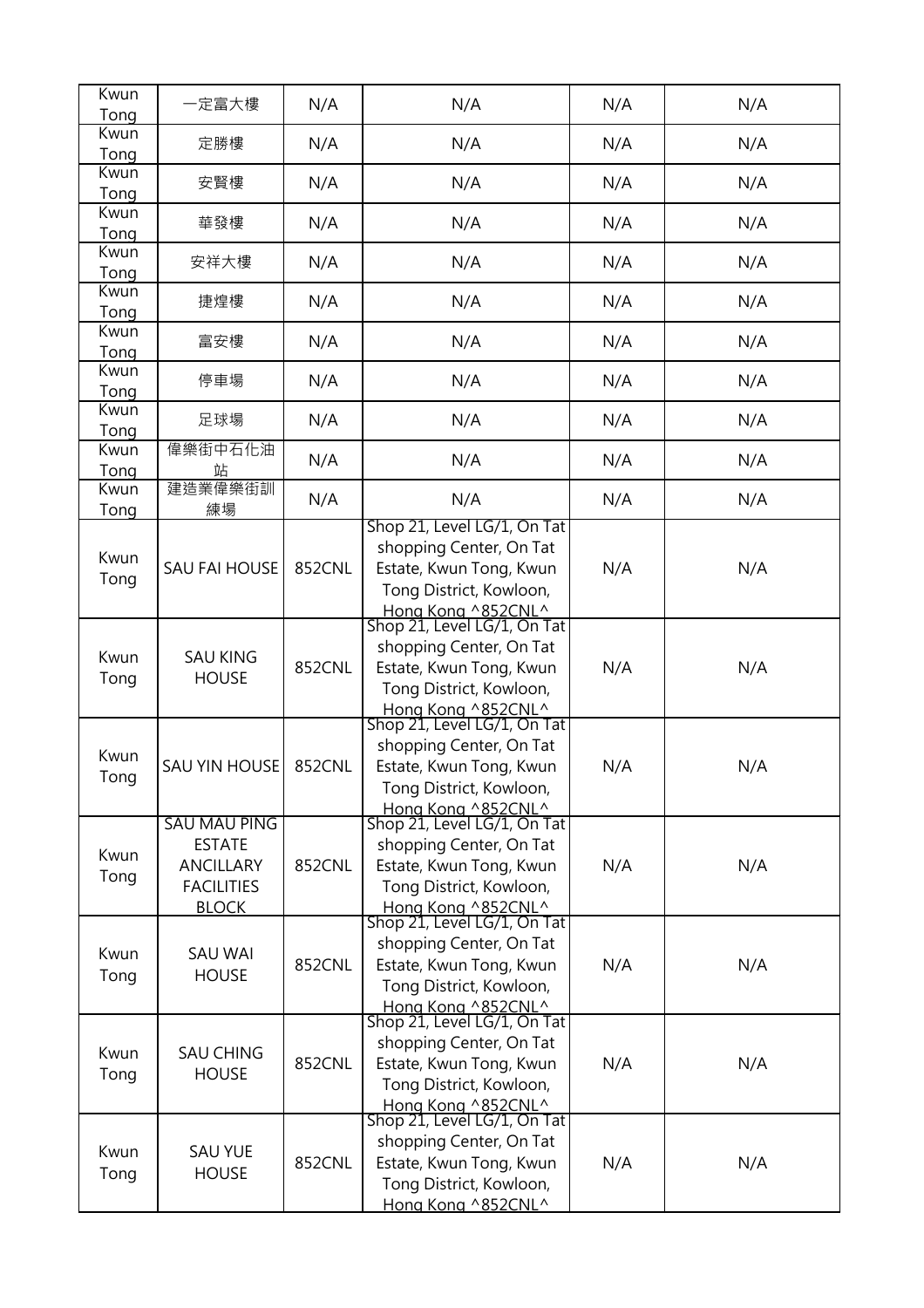| Kwun<br>Tong | 一定富大樓                                                                                  | N/A    | N/A                                                                                                                                                               | N/A | N/A |
|--------------|----------------------------------------------------------------------------------------|--------|-------------------------------------------------------------------------------------------------------------------------------------------------------------------|-----|-----|
| Kwun<br>Tong | 定勝樓                                                                                    | N/A    | N/A                                                                                                                                                               | N/A | N/A |
| Kwun<br>Tong | 安賢樓                                                                                    | N/A    | N/A                                                                                                                                                               | N/A | N/A |
| Kwun<br>Tong | 華發樓                                                                                    | N/A    | N/A                                                                                                                                                               | N/A | N/A |
| Kwun<br>Tong | 安祥大樓                                                                                   | N/A    | N/A                                                                                                                                                               | N/A | N/A |
| Kwun<br>Tong | 捷煌樓                                                                                    | N/A    | N/A                                                                                                                                                               | N/A | N/A |
| Kwun<br>Tong | 富安樓                                                                                    | N/A    | N/A                                                                                                                                                               | N/A | N/A |
| Kwun<br>Tong | 停車場                                                                                    | N/A    | N/A                                                                                                                                                               | N/A | N/A |
| Kwun<br>Tong | 足球場                                                                                    | N/A    | N/A                                                                                                                                                               | N/A | N/A |
| Kwun<br>Tong | 偉樂街中石化油<br>站                                                                           | N/A    | N/A                                                                                                                                                               | N/A | N/A |
| Kwun<br>Tong | 建造業偉樂街訓<br>練場                                                                          | N/A    | N/A                                                                                                                                                               | N/A | N/A |
| Kwun<br>Tong | <b>SAU FAI HOUSE</b>                                                                   | 852CNL | Shop 21, Level LG/1, On Tat<br>shopping Center, On Tat<br>Estate, Kwun Tong, Kwun<br>Tong District, Kowloon,<br>Hong Kong ^852CNL^                                | N/A | N/A |
| Kwun<br>Tong | <b>SAU KING</b><br><b>HOUSE</b>                                                        | 852CNL | Shop 21, Level LG/1, On Tat<br>shopping Center, On Tat<br>Estate, Kwun Tong, Kwun<br>Tong District, Kowloon,<br>Hong Kong ^852CNL^                                | N/A | N/A |
| Kwun<br>Tong | <b>SAU YIN HOUSE</b>                                                                   | 852CNL | Shop 21, Level LG/1, On Tat<br>shopping Center, On Tat<br>Estate, Kwun Tong, Kwun<br>Tong District, Kowloon,                                                      | N/A | N/A |
| Kwun<br>Tong | SAU MAU PING<br><b>ESTATE</b><br><b>ANCILLARY</b><br><b>FACILITIES</b><br><b>BLOCK</b> | 852CNL | Hong Kong ^852CNL^<br>Shop 21, Level LG/1, On Tat<br>shopping Center, On Tat<br>Estate, Kwun Tong, Kwun<br>Tong District, Kowloon,<br>Hong Kong ^852CNL^          | N/A | N/A |
| Kwun<br>Tong | <b>SAU WAI</b><br><b>HOUSE</b>                                                         | 852CNL | Shop 21, Level LG/1, On Tat<br>shopping Center, On Tat<br>Estate, Kwun Tong, Kwun<br>Tong District, Kowloon,<br>Hong Kong ^852CNL^<br>Shop 21, Level LG/1, On Tat | N/A | N/A |
| Kwun<br>Tong | <b>SAU CHING</b><br><b>HOUSE</b>                                                       | 852CNL | shopping Center, On Tat<br>Estate, Kwun Tong, Kwun<br>Tong District, Kowloon,<br>Hong Kong ^852CNL^<br>Shop 21, Level LG/1, On Tat                                | N/A | N/A |
| Kwun<br>Tong | <b>SAU YUE</b><br><b>HOUSE</b>                                                         | 852CNL | shopping Center, On Tat<br>Estate, Kwun Tong, Kwun<br>Tong District, Kowloon,<br>Hong Kong ^852CNL^                                                               | N/A | N/A |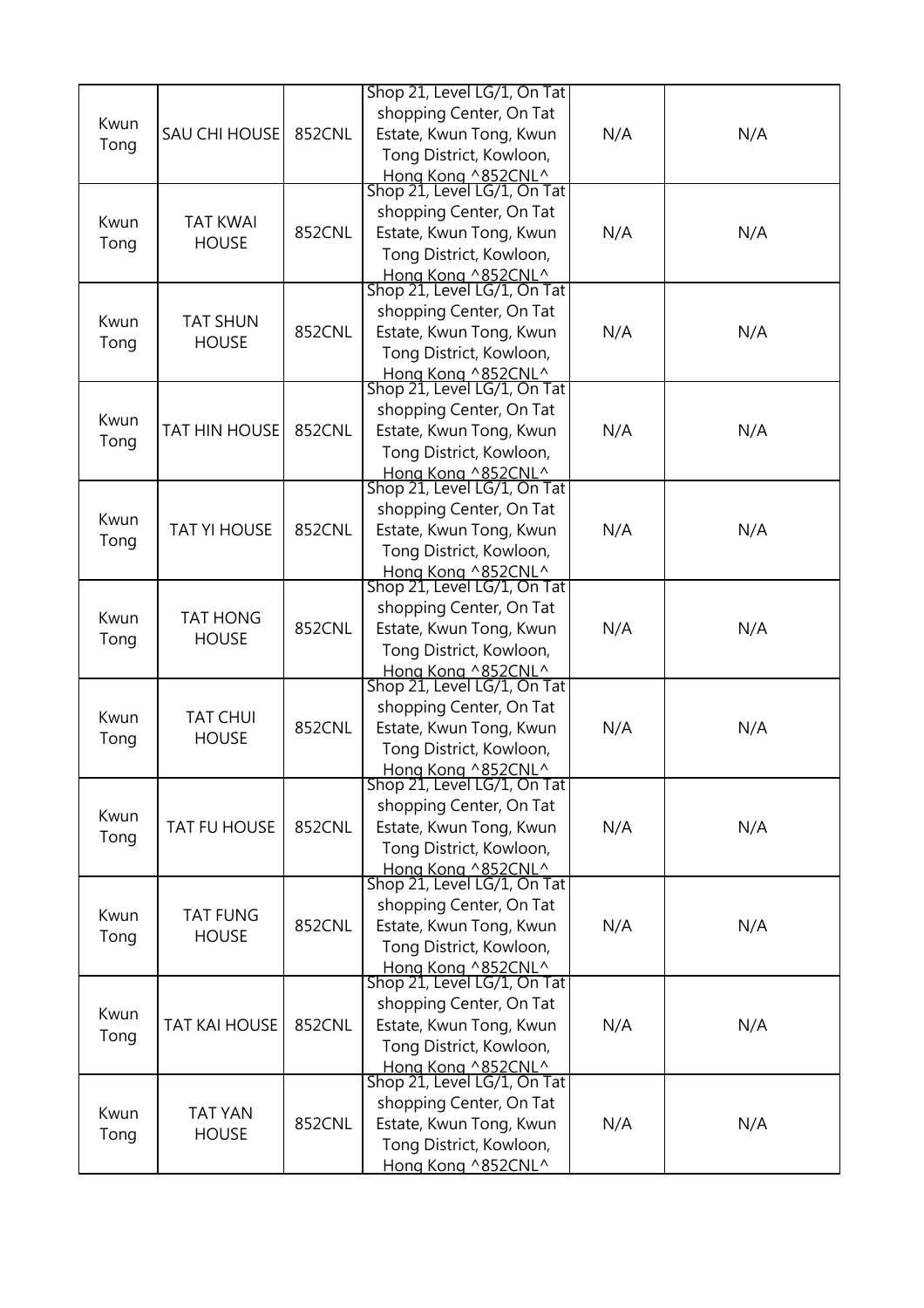| Kwun<br>Tong | SAU CHI HOUSE                   | 852CNL        | Shop 21, Level LG/1, On Tat<br>shopping Center, On Tat<br>Estate, Kwun Tong, Kwun<br>Tong District, Kowloon,<br>Hong Kong ^852CNL^<br>Shop 21, Level LG/1, On Tat | N/A | N/A |
|--------------|---------------------------------|---------------|-------------------------------------------------------------------------------------------------------------------------------------------------------------------|-----|-----|
| Kwun<br>Tong | <b>TAT KWAI</b><br><b>HOUSE</b> | <b>852CNL</b> | shopping Center, On Tat<br>Estate, Kwun Tong, Kwun<br>Tong District, Kowloon,<br>Hong Kong ^852CNL^                                                               | N/A | N/A |
| Kwun<br>Tong | <b>TAT SHUN</b><br><b>HOUSE</b> | 852CNL        | Shop 21, Level LG/1, On Tat<br>shopping Center, On Tat<br>Estate, Kwun Tong, Kwun<br>Tong District, Kowloon,<br>Hong Kong ^852CNL^                                | N/A | N/A |
| Kwun<br>Tong | <b>TAT HIN HOUSE</b>            | 852CNL        | Shop 21, Level LG/1, On Tat<br>shopping Center, On Tat<br>Estate, Kwun Tong, Kwun<br>Tong District, Kowloon,<br>Hong Kong ^852CNL^<br>Shop 21, Level LG/1, On Tat | N/A | N/A |
| Kwun<br>Tong | <b>TAT YI HOUSE</b>             | <b>852CNL</b> | shopping Center, On Tat<br>Estate, Kwun Tong, Kwun<br>Tong District, Kowloon,<br>Hong Kong ^852CNL^                                                               | N/A | N/A |
| Kwun<br>Tong | <b>TAT HONG</b><br><b>HOUSE</b> | 852CNL        | Shop 21, Level LG/1, On Tat<br>shopping Center, On Tat<br>Estate, Kwun Tong, Kwun<br>Tong District, Kowloon,<br>Hong Kong ^852CNL^                                | N/A | N/A |
| Kwun<br>Tong | <b>TAT CHUI</b><br><b>HOUSE</b> | 852CNL        | Shop 21, Level LG/1, On Tat<br>shopping Center, On Tat<br>Estate, Kwun Tong, Kwun<br>Tong District, Kowloon,<br>Hong Kong ^852CNL^                                | N/A | N/A |
| Kwun<br>Tong | TAT FU HOUSE                    | 852CNL        | Shop 21, Level LG/1, On Tat<br>shopping Center, On Tat<br>Estate, Kwun Tong, Kwun<br>Tong District, Kowloon,<br>Hong Kong ^852CNL^                                | N/A | N/A |
| Kwun<br>Tong | <b>TAT FUNG</b><br><b>HOUSE</b> | 852CNL        | Shop 21, Level LG/1, On Tat<br>shopping Center, On Tat<br>Estate, Kwun Tong, Kwun<br>Tong District, Kowloon,<br>Hong Kong ^852CNL^<br>Shop 21, Level LG/1, On Tat | N/A | N/A |
| Kwun<br>Tong | <b>TAT KAI HOUSE</b>            | <b>852CNL</b> | shopping Center, On Tat<br>Estate, Kwun Tong, Kwun<br>Tong District, Kowloon,<br>Hong Kong ^852CNL^                                                               | N/A | N/A |
| Kwun<br>Tong | <b>TAT YAN</b><br><b>HOUSE</b>  | <b>852CNL</b> | Shop 21, Level LG/1, On Tat<br>shopping Center, On Tat<br>Estate, Kwun Tong, Kwun<br>Tong District, Kowloon,<br>Hong Kong ^852CNL^                                | N/A | N/A |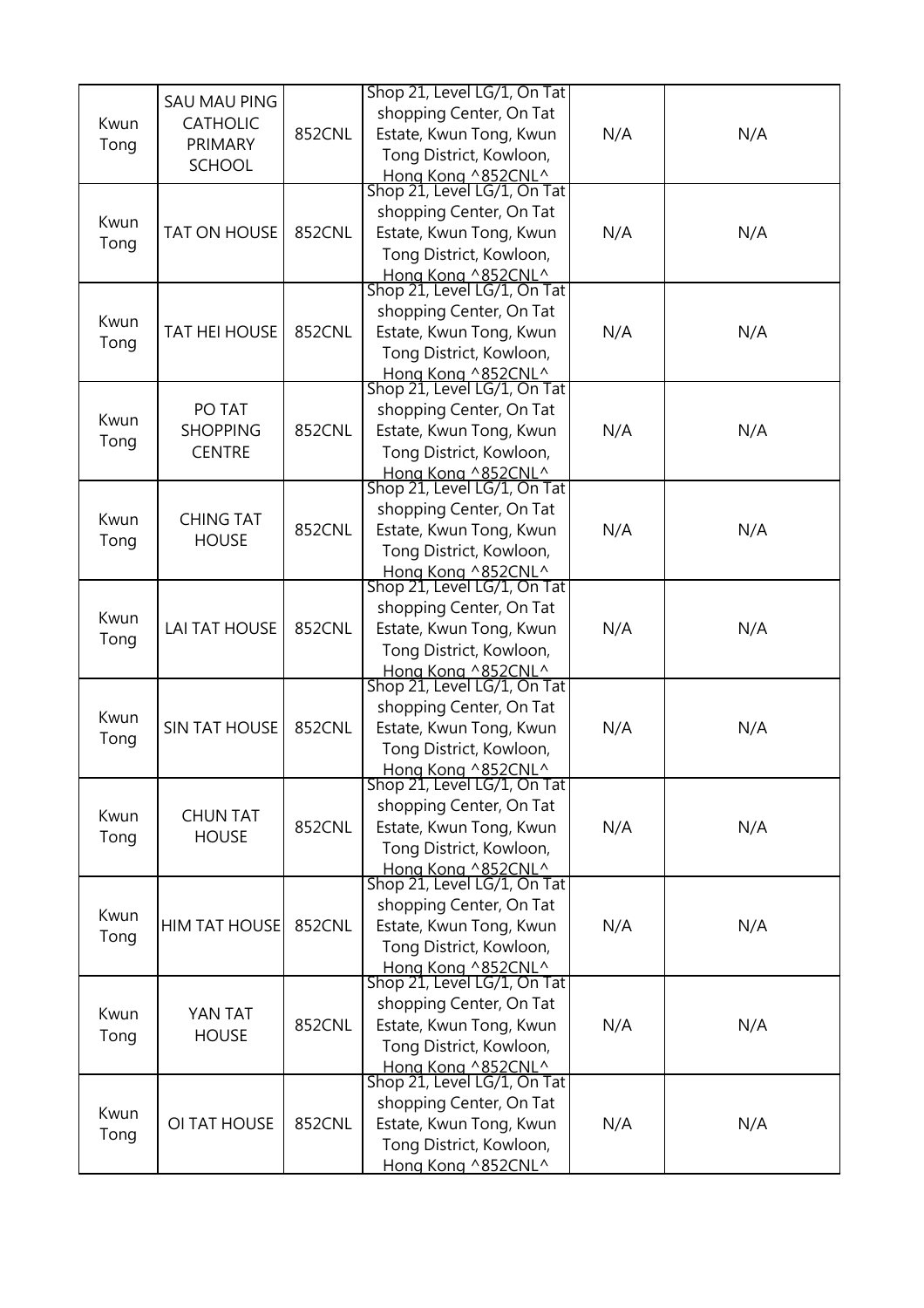| Kwun<br>Tong | <b>SAU MAU PING</b><br><b>CATHOLIC</b><br>PRIMARY<br><b>SCHOOL</b> | 852CNL | Shop 21, Level LG/1, On Tat<br>shopping Center, On Tat<br>Estate, Kwun Tong, Kwun<br>Tong District, Kowloon,<br>Hong Kong ^852CNL^<br>Shop 21, Level LG/1, On Tat | N/A | N/A |
|--------------|--------------------------------------------------------------------|--------|-------------------------------------------------------------------------------------------------------------------------------------------------------------------|-----|-----|
| Kwun<br>Tong | <b>TAT ON HOUSE</b>                                                | 852CNL | shopping Center, On Tat<br>Estate, Kwun Tong, Kwun<br>Tong District, Kowloon,<br>Hong Kong ^852CNL^<br>Shop 21, Level LG/1, On Tat                                | N/A | N/A |
| Kwun<br>Tong | <b>TAT HEI HOUSE</b>                                               | 852CNL | shopping Center, On Tat<br>Estate, Kwun Tong, Kwun<br>Tong District, Kowloon,<br>Hong Kong ^852CNL^                                                               | N/A | N/A |
| Kwun<br>Tong | PO TAT<br><b>SHOPPING</b><br><b>CENTRE</b>                         | 852CNL | Shop 21, Level LG/1, On Tat<br>shopping Center, On Tat<br>Estate, Kwun Tong, Kwun<br>Tong District, Kowloon,<br>Hong Kong ^852CNL^<br>Shop 21, Level LG/1, On Tat | N/A | N/A |
| Kwun<br>Tong | <b>CHING TAT</b><br><b>HOUSE</b>                                   | 852CNL | shopping Center, On Tat<br>Estate, Kwun Tong, Kwun<br>Tong District, Kowloon,<br>Hong Kong ^852CNL^                                                               | N/A | N/A |
| Kwun<br>Tong | <b>LAI TAT HOUSE</b>                                               | 852CNL | Shop 21, Level LG/1, On Tat<br>shopping Center, On Tat<br>Estate, Kwun Tong, Kwun<br>Tong District, Kowloon,<br>Hong Kong ^852CNL^                                | N/A | N/A |
| Kwun<br>Tong | <b>SIN TAT HOUSE</b>                                               | 852CNL | Shop 21, Level LG/1, On Tat<br>shopping Center, On Tat<br>Estate, Kwun Tong, Kwun<br>Tong District, Kowloon,<br>Hong Kong ^852CNL^                                | N/A | N/A |
| Kwun<br>Tong | <b>CHUN TAT</b><br><b>HOUSE</b>                                    | 852CNL | Shop 21, Level LG/1, On Tat<br>shopping Center, On Tat<br>Estate, Kwun Tong, Kwun<br>Tong District, Kowloon,<br>Hong Kong ^852CNL^                                | N/A | N/A |
| Kwun<br>Tong | <b>HIM TAT HOUSE</b>                                               | 852CNL | Shop 21, Level LG/1, On Tat<br>shopping Center, On Tat<br>Estate, Kwun Tong, Kwun<br>Tong District, Kowloon,<br>Hong Kong ^852CNL^<br>Shop 21, Level LG/1, On Tat | N/A | N/A |
| Kwun<br>Tong | YAN TAT<br><b>HOUSE</b>                                            | 852CNL | shopping Center, On Tat<br>Estate, Kwun Tong, Kwun<br>Tong District, Kowloon,<br>Hong Kong ^852CNL^                                                               | N/A | N/A |
| Kwun<br>Tong | OI TAT HOUSE                                                       | 852CNL | Shop 21, Level LG/1, On Tat<br>shopping Center, On Tat<br>Estate, Kwun Tong, Kwun<br>Tong District, Kowloon,<br>Hong Kong ^852CNL^                                | N/A | N/A |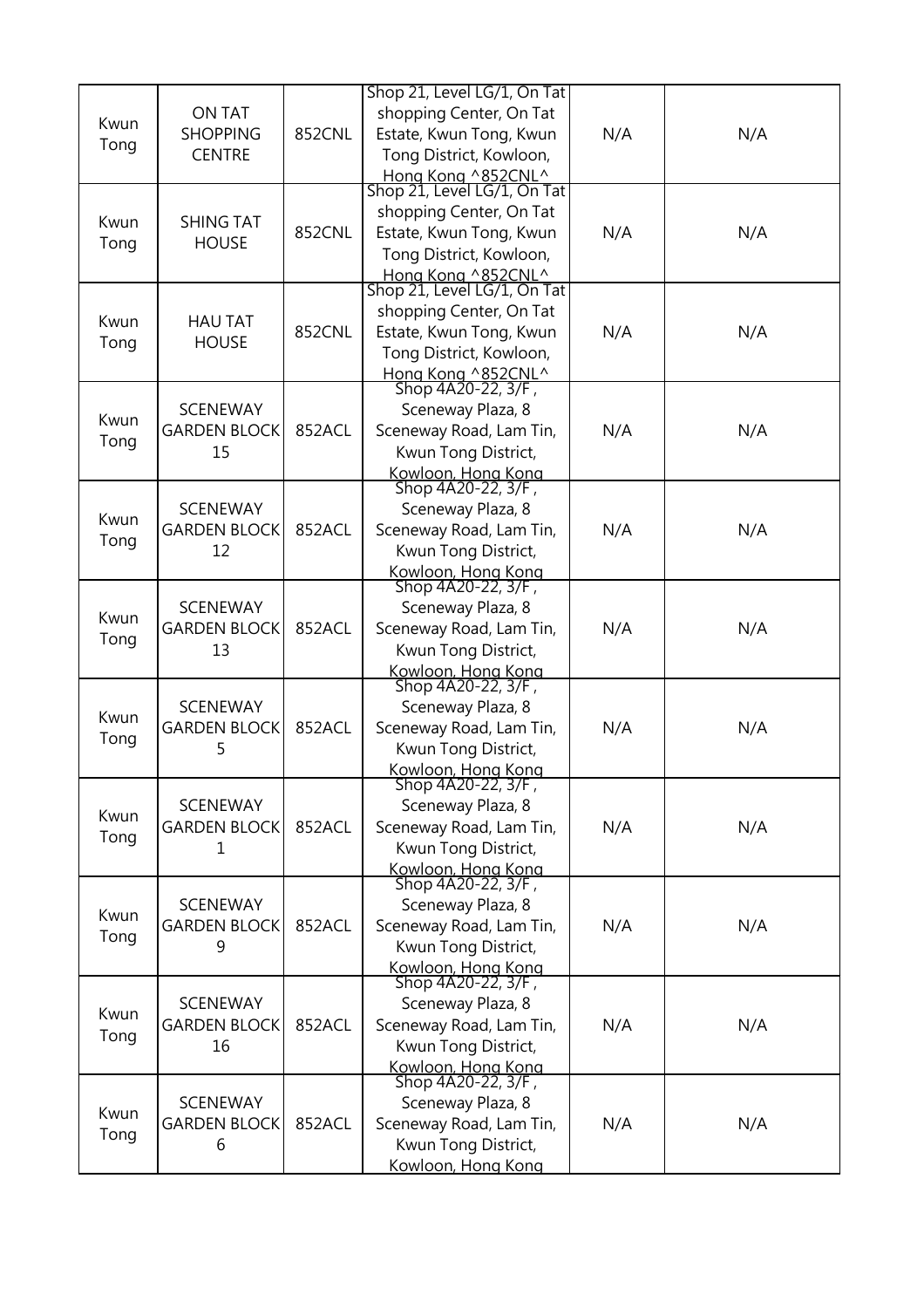| Kwun<br>Tong | <b>ON TAT</b><br><b>SHOPPING</b><br><b>CENTRE</b> | 852CNL        | Shop 21, Level LG/1, On Tat<br>shopping Center, On Tat<br>Estate, Kwun Tong, Kwun<br>Tong District, Kowloon,                                             | N/A | N/A |
|--------------|---------------------------------------------------|---------------|----------------------------------------------------------------------------------------------------------------------------------------------------------|-----|-----|
| Kwun<br>Tong | <b>SHING TAT</b><br><b>HOUSE</b>                  | <b>852CNL</b> | Hong Kong ^852CNL^<br>Shop 21, Level LG/1, On Tat<br>shopping Center, On Tat<br>Estate, Kwun Tong, Kwun<br>Tong District, Kowloon,<br>Hong Kong ^852CNL^ | N/A | N/A |
| Kwun<br>Tong | <b>HAU TAT</b><br><b>HOUSE</b>                    | 852CNL        | Shop 21, Level LG/1, On Tat<br>shopping Center, On Tat<br>Estate, Kwun Tong, Kwun<br>Tong District, Kowloon,<br>Hong Kong ^852CNL^                       | N/A | N/A |
| Kwun<br>Tong | <b>SCENEWAY</b><br><b>GARDEN BLOCK</b><br>15      | 852ACL        | Shop 4A20-22, 3/F,<br>Sceneway Plaza, 8<br>Sceneway Road, Lam Tin,<br>Kwun Tong District,<br>Kowloon, Hong Kong                                          | N/A | N/A |
| Kwun<br>Tong | <b>SCENEWAY</b><br><b>GARDEN BLOCK</b><br>12      | 852ACL        | Shop 4A20-22, 3/F,<br>Sceneway Plaza, 8<br>Sceneway Road, Lam Tin,<br>Kwun Tong District,<br>Kowloon, Hong Kong                                          | N/A | N/A |
| Kwun<br>Tong | <b>SCENEWAY</b><br><b>GARDEN BLOCK</b><br>13      | 852ACL        | Shop 4A20-22, 3/F,<br>Sceneway Plaza, 8<br>Sceneway Road, Lam Tin,<br>Kwun Tong District,<br>Kowloon, Hong Kong                                          | N/A | N/A |
| Kwun<br>Tong | <b>SCENEWAY</b><br><b>GARDEN BLOCK</b><br>5       | 852ACL        | Shop 4A20-22, 3/F,<br>Sceneway Plaza, 8<br>Sceneway Road, Lam Tin,<br>Kwun Tong District,<br>Kowloon, Hong Kong                                          | N/A | N/A |
| Kwun<br>Tong | <b>SCENEWAY</b><br><b>GARDEN BLOCK</b><br>1       | 852ACL        | Shop 4A20-22, 3/F,<br>Sceneway Plaza, 8<br>Sceneway Road, Lam Tin,<br>Kwun Tong District,<br>Kowloon, Hong Kong                                          | N/A | N/A |
| Kwun<br>Tong | <b>SCENEWAY</b><br><b>GARDEN BLOCK</b><br>9       | 852ACL        | Shop 4A20-22, 3/F,<br>Sceneway Plaza, 8<br>Sceneway Road, Lam Tin,<br>Kwun Tong District,<br>Kowloon, Hong Kong<br>Shop 4A20-22, 3/F,                    | N/A | N/A |
| Kwun<br>Tong | <b>SCENEWAY</b><br><b>GARDEN BLOCK</b><br>16      | 852ACL        | Sceneway Plaza, 8<br>Sceneway Road, Lam Tin,<br>Kwun Tong District,<br>Kowloon, Hong Kong                                                                | N/A | N/A |
| Kwun<br>Tong | <b>SCENEWAY</b><br><b>GARDEN BLOCK</b><br>6       | 852ACL        | Shop 4A20-22, 3/F,<br>Sceneway Plaza, 8<br>Sceneway Road, Lam Tin,<br>Kwun Tong District,<br>Kowloon, Hong Kong                                          | N/A | N/A |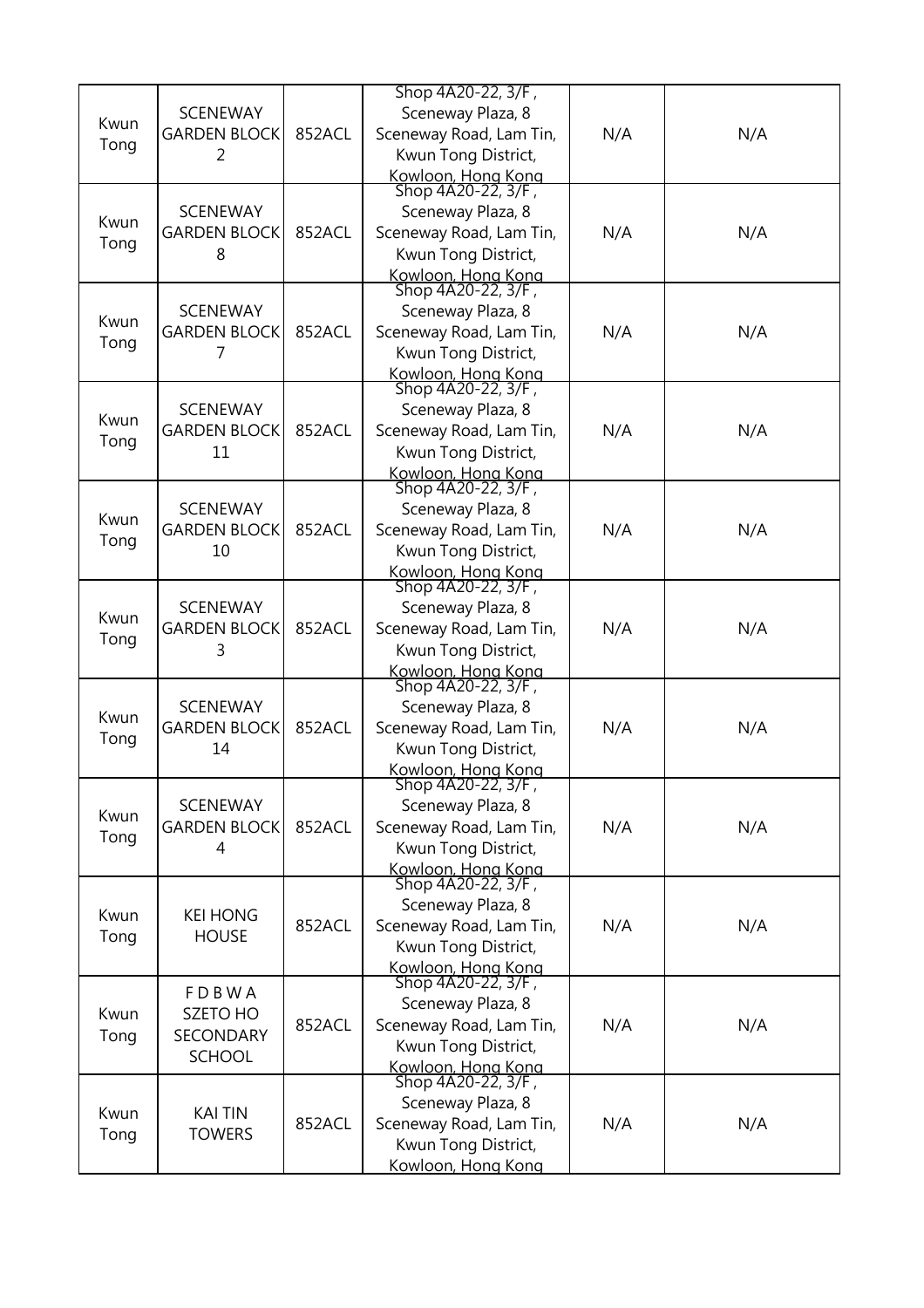|      |                     |        | Shop 4A20-22, 3/F,                       |     |     |
|------|---------------------|--------|------------------------------------------|-----|-----|
|      | <b>SCENEWAY</b>     |        | Sceneway Plaza, 8                        |     |     |
| Kwun | <b>GARDEN BLOCK</b> | 852ACL | Sceneway Road, Lam Tin,                  | N/A | N/A |
| Tong | 2                   |        | Kwun Tong District,                      |     |     |
|      |                     |        |                                          |     |     |
|      |                     |        | Kowloon, Hong Kong<br>Shop 4A20-22, 3/F, |     |     |
| Kwun | <b>SCENEWAY</b>     |        | Sceneway Plaza, 8                        |     |     |
|      | <b>GARDEN BLOCK</b> | 852ACL | Sceneway Road, Lam Tin,                  | N/A | N/A |
| Tong | 8                   |        | Kwun Tong District,                      |     |     |
|      |                     |        | Kowloon, Hong Kong                       |     |     |
|      |                     |        | Shop 4A20-22, 3/F,                       |     |     |
| Kwun | <b>SCENEWAY</b>     |        | Sceneway Plaza, 8                        |     |     |
| Tong | <b>GARDEN BLOCK</b> | 852ACL | Sceneway Road, Lam Tin,                  | N/A | N/A |
|      | 7                   |        | Kwun Tong District,                      |     |     |
|      |                     |        | Kowloon, Hong Kong                       |     |     |
|      |                     |        | Shop 4A20-22, 3/F,                       |     |     |
| Kwun | <b>SCENEWAY</b>     |        | Sceneway Plaza, 8                        |     |     |
| Tong | <b>GARDEN BLOCK</b> | 852ACL | Sceneway Road, Lam Tin,                  | N/A | N/A |
|      | 11                  |        | Kwun Tong District,                      |     |     |
|      |                     |        | Kowloon, Hong Kong                       |     |     |
|      |                     |        | Shop 4A20-22, 3/F,                       |     |     |
| Kwun | <b>SCENEWAY</b>     |        | Sceneway Plaza, 8                        |     |     |
| Tong | <b>GARDEN BLOCK</b> | 852ACL | Sceneway Road, Lam Tin,                  | N/A | N/A |
|      | 10                  |        | Kwun Tong District,                      |     |     |
|      |                     |        | Kowloon, Hong Kong<br>Shop 4A20-22, 3/F, |     |     |
|      |                     |        |                                          |     |     |
| Kwun | <b>SCENEWAY</b>     |        | Sceneway Plaza, 8                        |     |     |
| Tong | <b>GARDEN BLOCK</b> | 852ACL | Sceneway Road, Lam Tin,                  | N/A | N/A |
|      | 3                   |        | Kwun Tong District,                      |     |     |
|      |                     |        | Kowloon, Hong Kong<br>Shop 4A20-22, 3/F, |     |     |
|      | <b>SCENEWAY</b>     |        | Sceneway Plaza, 8                        |     |     |
| Kwun | <b>GARDEN BLOCK</b> | 852ACL | Sceneway Road, Lam Tin,                  | N/A | N/A |
| Tong | 14                  |        | Kwun Tong District,                      |     |     |
|      |                     |        | Kowloon, Hong Kong                       |     |     |
|      |                     |        | Shop 4A20-22, 3/F,                       |     |     |
|      | <b>SCENEWAY</b>     |        | Sceneway Plaza, 8                        |     |     |
| Kwun | <b>GARDEN BLOCK</b> | 852ACL | Sceneway Road, Lam Tin,                  | N/A | N/A |
| Tong | 4                   |        | Kwun Tong District,                      |     |     |
|      |                     |        | Kowloon, Hong Kong                       |     |     |
|      |                     |        | Shop 4A20-22, 3/F,                       |     |     |
| Kwun | <b>KEI HONG</b>     |        | Sceneway Plaza, 8                        |     |     |
|      |                     | 852ACL | Sceneway Road, Lam Tin,                  | N/A | N/A |
| Tong | <b>HOUSE</b>        |        | Kwun Tong District,                      |     |     |
|      |                     |        | Kowloon, Hong Kong<br>Shop 4A20-22, 3/F, |     |     |
|      | FDBWA               |        |                                          |     |     |
| Kwun | SZETO HO            |        | Sceneway Plaza, 8                        |     |     |
| Tong | <b>SECONDARY</b>    | 852ACL | Sceneway Road, Lam Tin,                  | N/A | N/A |
|      | <b>SCHOOL</b>       |        | Kwun Tong District,                      |     |     |
|      |                     |        | Kowloon, Hong Kong                       |     |     |
|      |                     |        | Shop 4A20-22, 3/F,                       |     |     |
| Kwun | <b>KAI TIN</b>      |        | Sceneway Plaza, 8                        |     |     |
| Tong | <b>TOWERS</b>       | 852ACL | Sceneway Road, Lam Tin,                  | N/A | N/A |
|      |                     |        | Kwun Tong District,                      |     |     |
|      |                     |        | Kowloon, Hong Kong                       |     |     |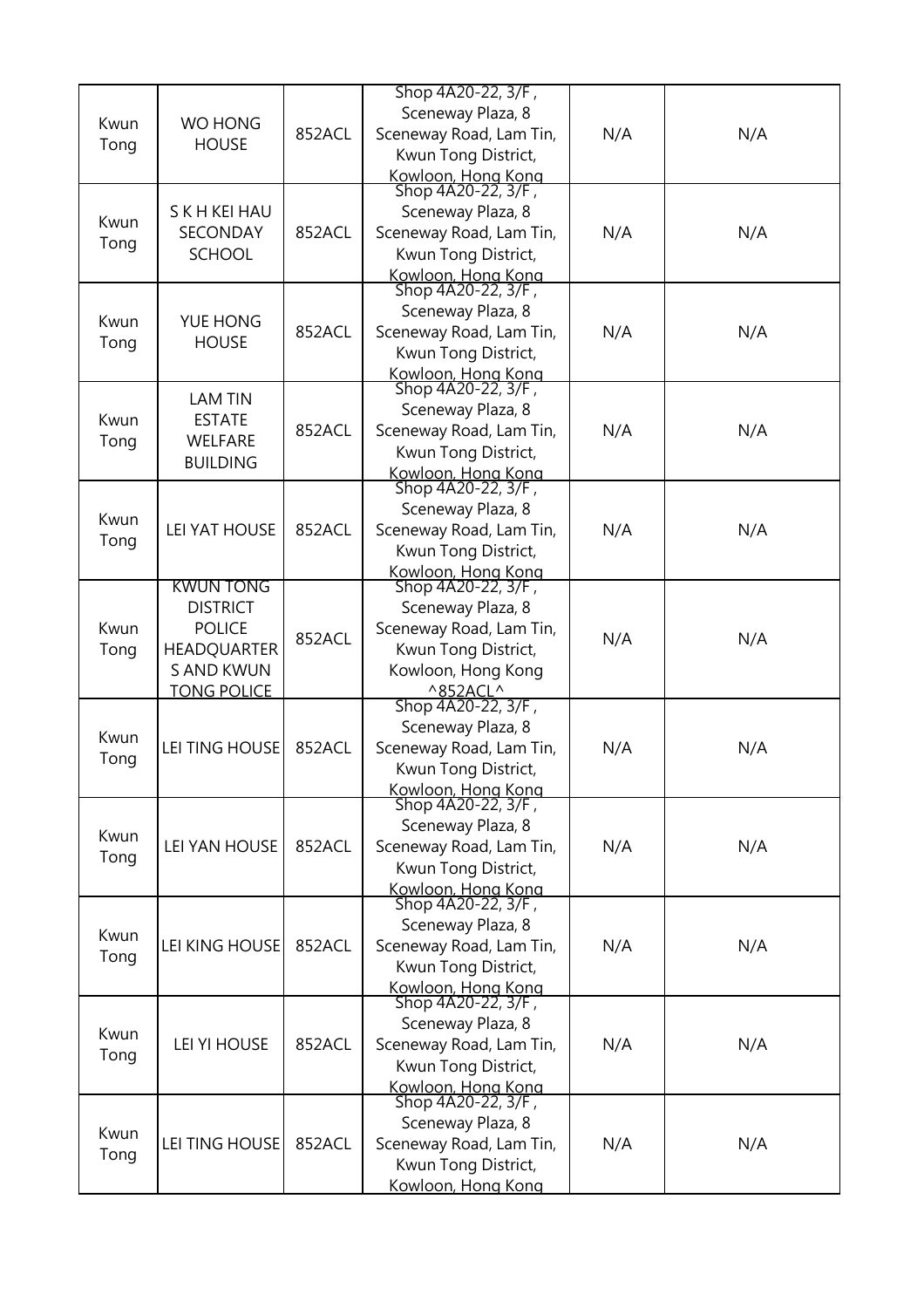|      |                       |        | Shop 4A20-22, 3/F,                       |     |     |
|------|-----------------------|--------|------------------------------------------|-----|-----|
| Kwun | WO HONG               |        | Sceneway Plaza, 8                        |     |     |
|      | <b>HOUSE</b>          | 852ACL | Sceneway Road, Lam Tin,                  | N/A | N/A |
| Tong |                       |        | Kwun Tong District,                      |     |     |
|      |                       |        | Kowloon, Hong Kong<br>Shop 4A20-22, 3/F, |     |     |
|      |                       |        |                                          |     |     |
| Kwun | S K H KEI HAU         |        | Sceneway Plaza, 8                        |     |     |
| Tong | SECONDAY              | 852ACL | Sceneway Road, Lam Tin,                  | N/A | N/A |
|      | <b>SCHOOL</b>         |        | Kwun Tong District,                      |     |     |
|      |                       |        | Kowloon, Hong Kong<br>Shop 4A20-22, 3/F, |     |     |
|      |                       |        | Sceneway Plaza, 8                        |     |     |
| Kwun | YUE HONG              | 852ACL | Sceneway Road, Lam Tin,                  | N/A | N/A |
| Tong | <b>HOUSE</b>          |        | Kwun Tong District,                      |     |     |
|      |                       |        | Kowloon, Hong Kong                       |     |     |
|      | <b>LAM TIN</b>        |        | Shop 4A20-22, 3/F,                       |     |     |
| Kwun | <b>ESTATE</b>         |        | Sceneway Plaza, 8                        |     |     |
| Tong | <b>WELFARE</b>        | 852ACL | Sceneway Road, Lam Tin,                  | N/A | N/A |
|      | <b>BUILDING</b>       |        | Kwun Tong District,                      |     |     |
|      |                       |        | Kowloon, Hong Kong<br>Shop 4A20-22, 3/F, |     |     |
|      |                       |        | Sceneway Plaza, 8                        |     |     |
| Kwun | <b>LEI YAT HOUSE</b>  | 852ACL | Sceneway Road, Lam Tin,                  | N/A | N/A |
| Tong |                       |        | Kwun Tong District,                      |     |     |
|      |                       |        | Kowloon, Hong Kong                       |     |     |
|      | KWUN TONG             |        | Shop 4A20-22, 3/F,                       |     |     |
|      | <b>DISTRICT</b>       |        | Sceneway Plaza, 8                        |     |     |
| Kwun | <b>POLICE</b>         | 852ACL | Sceneway Road, Lam Tin,                  |     |     |
| Tong | <b>HEADQUARTER</b>    |        | Kwun Tong District,                      | N/A | N/A |
|      | <b>S AND KWUN</b>     |        | Kowloon, Hong Kong                       |     |     |
|      | <b>TONG POLICE</b>    |        | $^{\wedge}852ACL^{\wedge}$               |     |     |
|      |                       |        | Shop 4A20-22, 3/F,                       |     |     |
| Kwun | <b>LEI TING HOUSE</b> |        | Sceneway Plaza, 8                        |     |     |
| Tong |                       | 852ACL | Sceneway Road, Lam Tin,                  | N/A | N/A |
|      |                       |        | Kwun Tong District,                      |     |     |
|      |                       |        | Kowloon, Hong Kong<br>Shop 4A20-22, 3/F, |     |     |
|      |                       |        | Sceneway Plaza, 8                        |     |     |
| Kwun | LEI YAN HOUSE         | 852ACL | Sceneway Road, Lam Tin,                  | N/A | N/A |
| Tong |                       |        | Kwun Tong District,                      |     |     |
|      |                       |        | Kowloon, Hong Kong                       |     |     |
|      |                       |        | Shop 4A20-22, 3/F,                       |     |     |
| Kwun |                       |        | Sceneway Plaza, 8                        |     |     |
| Tong | LEI KING HOUSE        | 852ACL | Sceneway Road, Lam Tin,                  | N/A | N/A |
|      |                       |        | Kwun Tong District,                      |     |     |
|      |                       |        | Kowloon, Hong Kong<br>Shop 4A20-22, 3/F, |     |     |
|      |                       |        | Sceneway Plaza, 8                        |     |     |
| Kwun | <b>LEI YI HOUSE</b>   | 852ACL | Sceneway Road, Lam Tin,                  | N/A | N/A |
| Tong |                       |        | Kwun Tong District,                      |     |     |
|      |                       |        |                                          |     |     |
|      |                       |        | Kowloon, Hong Kong<br>Shop 4A20-22, 3/F, |     |     |
| Kwun |                       |        | Sceneway Plaza, 8                        |     |     |
| Tong | LEI TING HOUSE        | 852ACL | Sceneway Road, Lam Tin,                  | N/A | N/A |
|      |                       |        | Kwun Tong District,                      |     |     |
|      |                       |        | Kowloon, Hong Kong                       |     |     |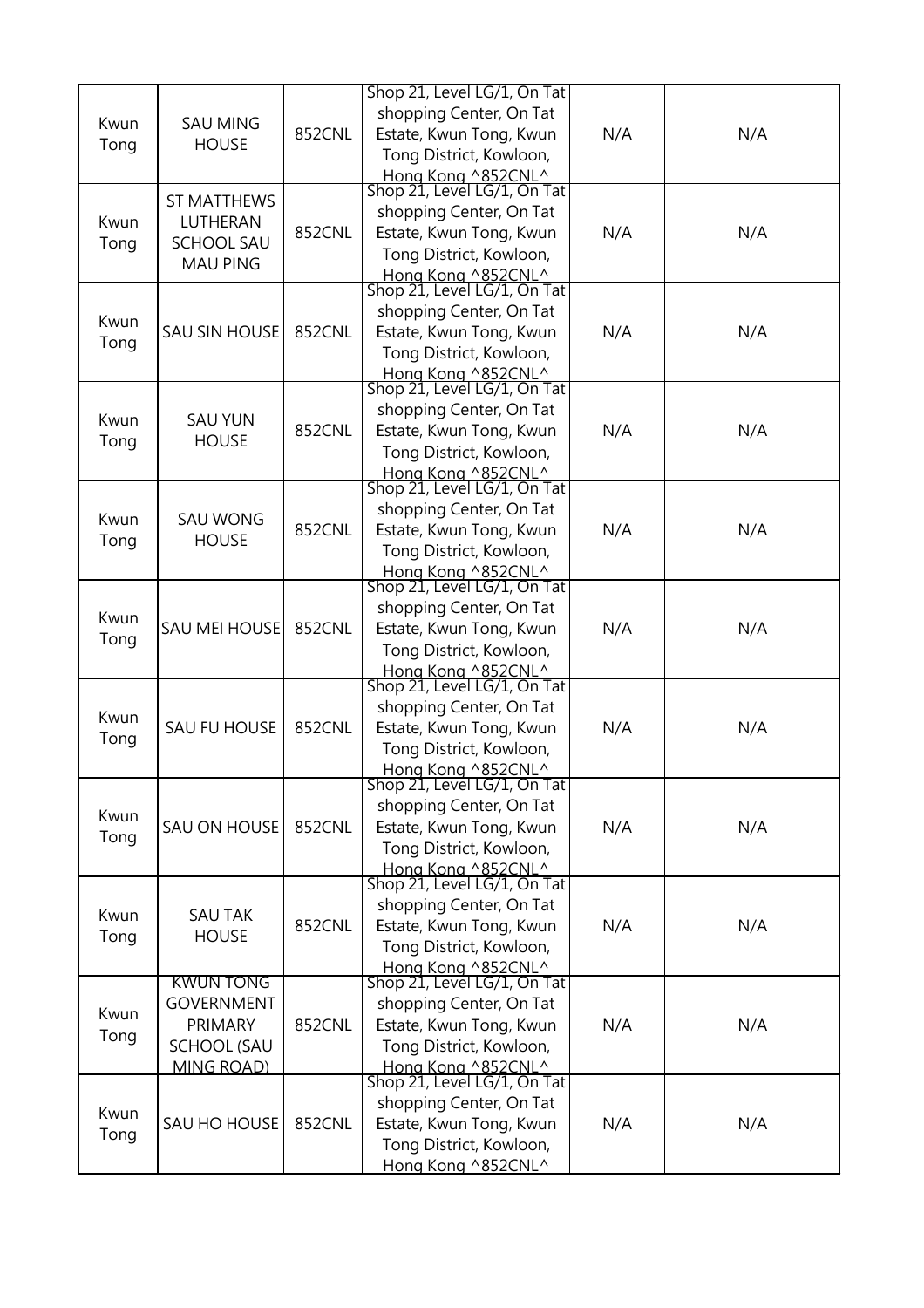|      |                      |               | Shop 21, Level LG/1, On Tat                       |     |     |
|------|----------------------|---------------|---------------------------------------------------|-----|-----|
|      |                      |               | shopping Center, On Tat                           |     |     |
| Kwun | <b>SAU MING</b>      | 852CNL        | Estate, Kwun Tong, Kwun                           | N/A | N/A |
| Tong | <b>HOUSE</b>         |               | Tong District, Kowloon,                           |     |     |
|      |                      |               |                                                   |     |     |
|      |                      |               | Hong Kong ^852CNL^<br>Shop 21, Level LG/1, On Tat |     |     |
|      | <b>ST MATTHEWS</b>   |               | shopping Center, On Tat                           |     |     |
| Kwun | LUTHERAN             | <b>852CNL</b> | Estate, Kwun Tong, Kwun                           | N/A | N/A |
| Tong | <b>SCHOOL SAU</b>    |               |                                                   |     |     |
|      | <b>MAU PING</b>      |               | Tong District, Kowloon,                           |     |     |
|      |                      |               | Hong Kong ^852CNL^<br>Shop 21, Level LG/1, On Tat |     |     |
|      |                      |               | shopping Center, On Tat                           |     |     |
| Kwun | SAU SIN HOUSE        | 852CNL        | Estate, Kwun Tong, Kwun                           | N/A | N/A |
| Tong |                      |               | Tong District, Kowloon,                           |     |     |
|      |                      |               |                                                   |     |     |
|      |                      |               | Hong Kong ^852CNL^<br>Shop 21, Level LG/1, On Tat |     |     |
|      |                      |               | shopping Center, On Tat                           |     |     |
| Kwun | <b>SAU YUN</b>       | 852CNL        | Estate, Kwun Tong, Kwun                           | N/A | N/A |
| Tong | <b>HOUSE</b>         |               |                                                   |     |     |
|      |                      |               | Tong District, Kowloon,                           |     |     |
|      |                      |               | Hong Kong ^852CNL^<br>Shop 21, Level LG/1, On Tat |     |     |
|      |                      |               | shopping Center, On Tat                           |     |     |
| Kwun | <b>SAU WONG</b>      | 852CNL        |                                                   |     |     |
| Tong | <b>HOUSE</b>         |               | Estate, Kwun Tong, Kwun                           | N/A | N/A |
|      |                      |               | Tong District, Kowloon,                           |     |     |
|      |                      |               | Hong Kong ^852CNL^<br>Shop 21, Level LG/1, On Tat |     |     |
|      |                      |               |                                                   |     |     |
| Kwun |                      |               | shopping Center, On Tat                           |     |     |
| Tong | <b>SAU MEI HOUSE</b> | 852CNL        | Estate, Kwun Tong, Kwun                           | N/A | N/A |
|      |                      |               | Tong District, Kowloon,                           |     |     |
|      |                      |               | Hong Kong ^852CNL^<br>Shop 21, Level LG/1, On Tat |     |     |
|      |                      |               | shopping Center, On Tat                           |     |     |
| Kwun |                      |               |                                                   |     |     |
| Tong | <b>SAU FU HOUSE</b>  | 852CNL        | Estate, Kwun Tong, Kwun                           | N/A | N/A |
|      |                      |               | Tong District, Kowloon,                           |     |     |
|      |                      |               | Hong Kong ^852CNL^<br>Shop 21, Level LG/1, On Tat |     |     |
|      |                      |               |                                                   |     |     |
| Kwun |                      |               | shopping Center, On Tat                           |     |     |
| Tong | SAU ON HOUSE         | 852CNL        | Estate, Kwun Tong, Kwun                           | N/A | N/A |
|      |                      |               | Tong District, Kowloon,                           |     |     |
|      |                      |               | Hong Kong ^852CNL^<br>Shop 21, Level LG/1, On Tat |     |     |
|      |                      |               | shopping Center, On Tat                           |     |     |
| Kwun | <b>SAU TAK</b>       |               |                                                   |     |     |
| Tong | <b>HOUSE</b>         | 852CNL        | Estate, Kwun Tong, Kwun                           | N/A | N/A |
|      |                      |               | Tong District, Kowloon,                           |     |     |
|      | <b>KWUN TONG</b>     |               | Hong Kong ^852CNL^<br>Shop 21, Level LG/1, On Tat |     |     |
|      |                      |               |                                                   |     |     |
| Kwun | <b>GOVERNMENT</b>    |               | shopping Center, On Tat                           |     |     |
| Tong | PRIMARY              | 852CNL        | Estate, Kwun Tong, Kwun                           | N/A | N/A |
|      | <b>SCHOOL (SAU</b>   |               | Tong District, Kowloon,                           |     |     |
|      | <b>MING ROAD)</b>    |               | Hong Kong ^852CNL^<br>Shop 21, Level LG/1, On Tat |     |     |
|      |                      |               |                                                   |     |     |
| Kwun |                      |               | shopping Center, On Tat                           |     |     |
| Tong | SAU HO HOUSE         | 852CNL        | Estate, Kwun Tong, Kwun                           | N/A | N/A |
|      |                      |               | Tong District, Kowloon,                           |     |     |
|      |                      |               | Hong Kong ^852CNL^                                |     |     |